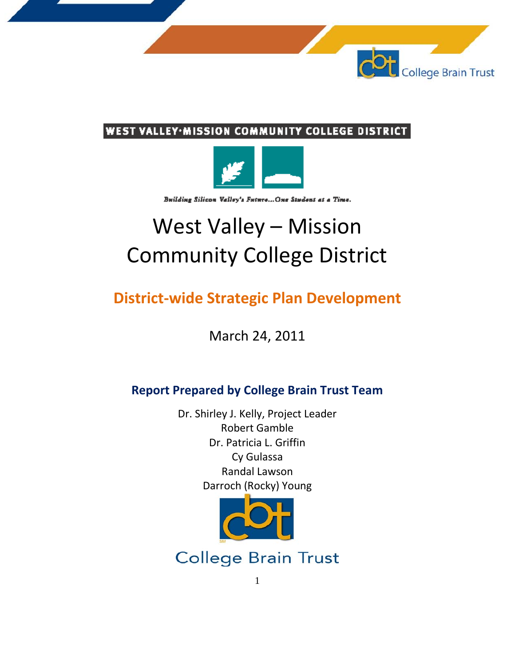

### **WEST VALLEY·MISSION COMMUNITY COLLEGE DISTRICT**



Building Silicon Valley's Future... One Student at a Time.

# West Valley – Mission Community College District

# **District-wide Strategic Plan Development**

March 24, 2011

### **Report Prepared by College Brain Trust Team**

Dr. Shirley J. Kelly, Project Leader Robert Gamble Dr. Patricia L. Griffin Cy Gulassa Randal Lawson Darroch (Rocky) Young



**College Brain Trust**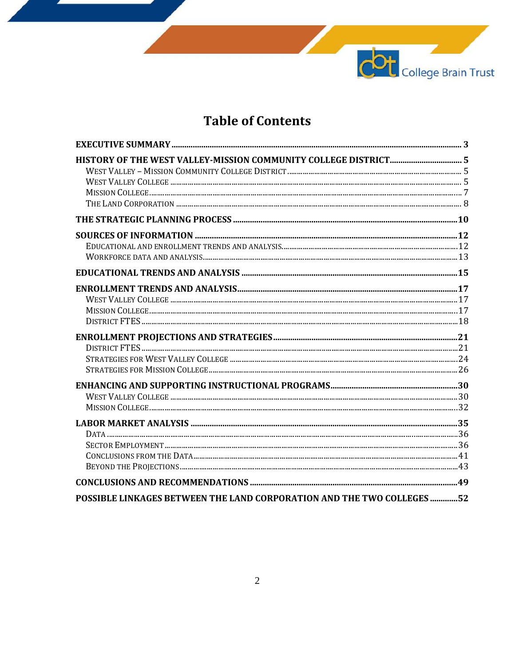## **Table of Contents**

COL College Brain Trust

| POSSIBLE LINKAGES BETWEEN THE LAND CORPORATION AND THE TWO COLLEGES 52 |  |
|------------------------------------------------------------------------|--|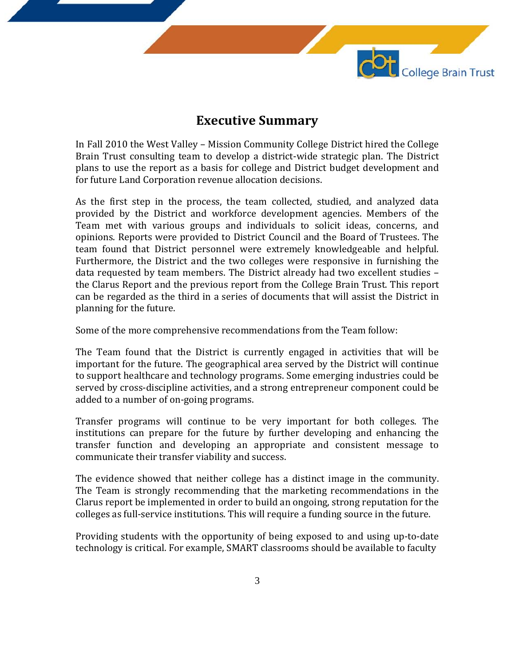

### **Executive Summary**

In Fall 2010 the West Valley – Mission Community College District hired the College Brain Trust consulting team to develop a district-wide strategic plan. The District plans to use the report as a basis for college and District budget development and for future Land Corporation revenue allocation decisions.

As the first step in the process, the team collected, studied, and analyzed data provided by the District and workforce development agencies. Members of the Team met with various groups and individuals to solicit ideas, concerns, and opinions. Reports were provided to District Council and the Board of Trustees. The team found that District personnel were extremely knowledgeable and helpful. Furthermore, the District and the two colleges were responsive in furnishing the data requested by team members. The District already had two excellent studies – the Clarus Report and the previous report from the College Brain Trust. This report can be regarded as the third in a series of documents that will assist the District in planning for the future.

Some of the more comprehensive recommendations from the Team follow:

The Team found that the District is currently engaged in activities that will be important for the future. The geographical area served by the District will continue to support healthcare and technology programs. Some emerging industries could be served by cross-discipline activities, and a strong entrepreneur component could be added to a number of on-going programs.

Transfer programs will continue to be very important for both colleges. The institutions can prepare for the future by further developing and enhancing the transfer function and developing an appropriate and consistent message to communicate their transfer viability and success.

The evidence showed that neither college has a distinct image in the community. The Team is strongly recommending that the marketing recommendations in the Clarus report be implemented in order to build an ongoing, strong reputation for the colleges as full-service institutions. This will require a funding source in the future.

Providing students with the opportunity of being exposed to and using up-to-date technology is critical. For example, SMART classrooms should be available to faculty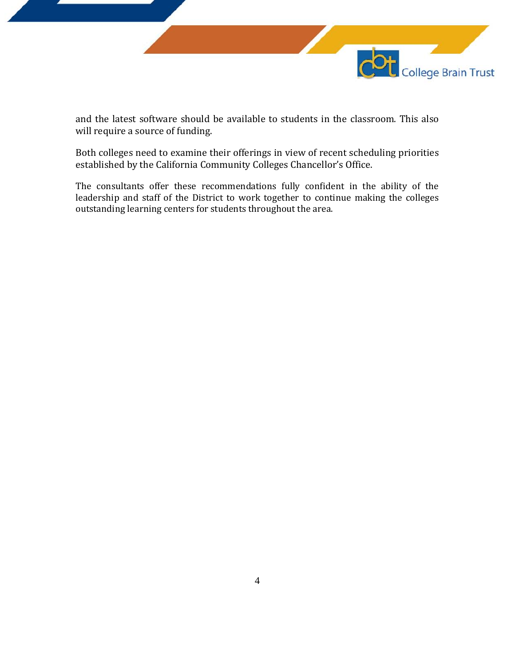

and the latest software should be available to students in the classroom. This also will require a source of funding.

Both colleges need to examine their offerings in view of recent scheduling priorities established by the California Community Colleges Chancellor's Office.

The consultants offer these recommendations fully confident in the ability of the leadership and staff of the District to work together to continue making the colleges outstanding learning centers for students throughout the area.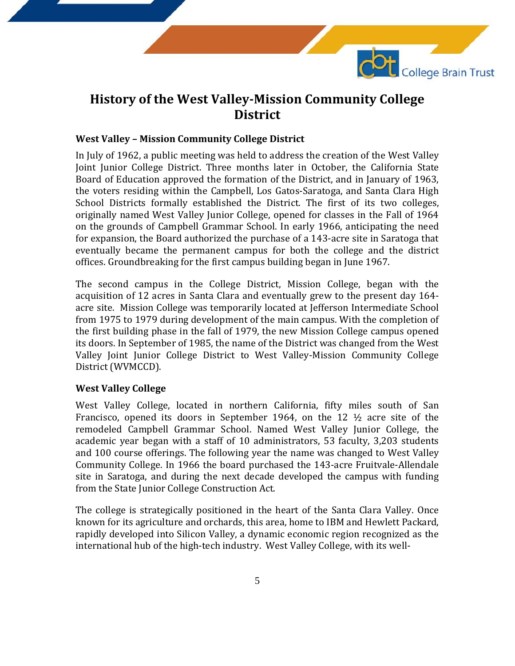

### **History of the West Valley-Mission Community College District**

### **West Valley – Mission Community College District**

In July of 1962, a public meeting was held to address the creation of the West Valley Joint Junior College District. Three months later in October, the California State Board of Education approved the formation of the District, and in January of 1963, the voters residing within the Campbell, Los Gatos-Saratoga, and Santa Clara High School Districts formally established the District. The first of its two colleges, originally named West Valley Junior College, opened for classes in the Fall of 1964 on the grounds of Campbell Grammar School. In early 1966, anticipating the need for expansion, the Board authorized the purchase of a 143-acre site in Saratoga that eventually became the permanent campus for both the college and the district offices. Groundbreaking for the first campus building began in June 1967.

The second campus in the College District, Mission College, began with the acquisition of 12 acres in Santa Clara and eventually grew to the present day 164 acre site. Mission College was temporarily located at Jefferson Intermediate School from 1975 to 1979 during development of the main campus. With the completion of the first building phase in the fall of 1979, the new Mission College campus opened its doors. In September of 1985, the name of the District was changed from the West Valley Joint Junior College District to West Valley-Mission Community College District (WVMCCD).

### **West Valley College**

West Valley College, located in northern California, fifty miles south of San Francisco, opened its doors in September 1964, on the 12 ½ acre site of the remodeled Campbell Grammar School. Named West Valley Junior College, the academic year began with a staff of 10 administrators, 53 faculty, 3,203 students and 100 course offerings. The following year the name was changed to West Valley Community College. In 1966 the board purchased the 143-acre Fruitvale-Allendale site in Saratoga, and during the next decade developed the campus with funding from the State Junior College Construction Act.

The college is strategically positioned in the heart of the Santa Clara Valley. Once known for its agriculture and orchards, this area, home to IBM and Hewlett Packard, rapidly developed into Silicon Valley, a dynamic economic region recognized as the international hub of the high-tech industry. West Valley College, with its well-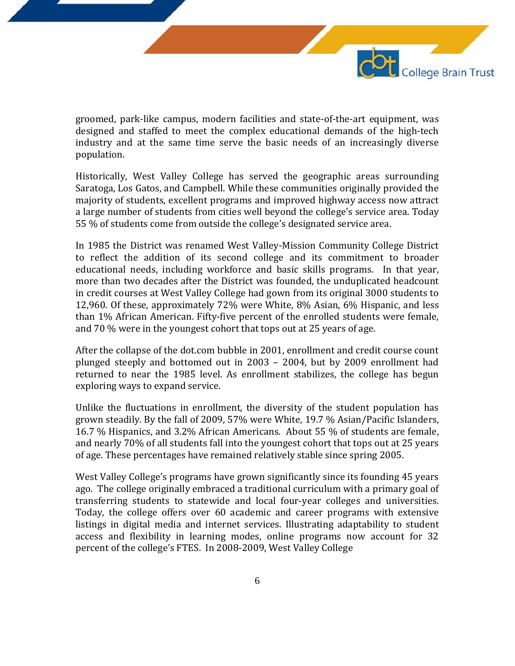

groomed, park-like campus, modern facilities and state-of-the-art equipment, was designed and staffed to meet the complex educational demands of the high-tech industry and at the same time serve the basic needs of an increasingly diverse population.

Historically, West Valley College has served the geographic areas surrounding Saratoga, Los Gatos, and Campbell. While these communities originally provided the majority of students, excellent programs and improved highway access now attract a large number of students from cities well beyond the college's service area. Today 55 % of students come from outside the college's designated service area.

In 1985 the District was renamed West Valley-Mission Community College District to reflect the addition of its second college and its commitment to broader educational needs, including workforce and basic skills programs. In that year, more than two decades after the District was founded, the unduplicated headcount in credit courses at West Valley College had gown from its original 3000 students to 12,960. Of these, approximately 72% were White, 8% Asian, 6% Hispanic, and less than 1% African American. Fifty-five percent of the enrolled students were female, and 70 % were in the youngest cohort that tops out at 25 years of age.

After the collapse of the dot.com bubble in 2001, enrollment and credit course count plunged steeply and bottomed out in 2003 – 2004, but by 2009 enrollment had returned to near the 1985 level. As enrollment stabilizes, the college has begun exploring ways to expand service.

Unlike the fluctuations in enrollment, the diversity of the student population has grown steadily. By the fall of 2009, 57% were White, 19.7 % Asian/Pacific Islanders, 16.7 % Hispanics, and 3.2% African Americans. About 55 % of students are female, and nearly 70% of all students fall into the youngest cohort that tops out at 25 years of age. These percentages have remained relatively stable since spring 2005.

West Valley College's programs have grown significantly since its founding 45 years ago. The college originally embraced a traditional curriculum with a primary goal of transferring students to statewide and local four-year colleges and universities. Today, the college offers over 60 academic and career programs with extensive listings in digital media and internet services. Illustrating adaptability to student access and flexibility in learning modes, online programs now account for 32 percent of the college's FTES. In 2008-2009, West Valley College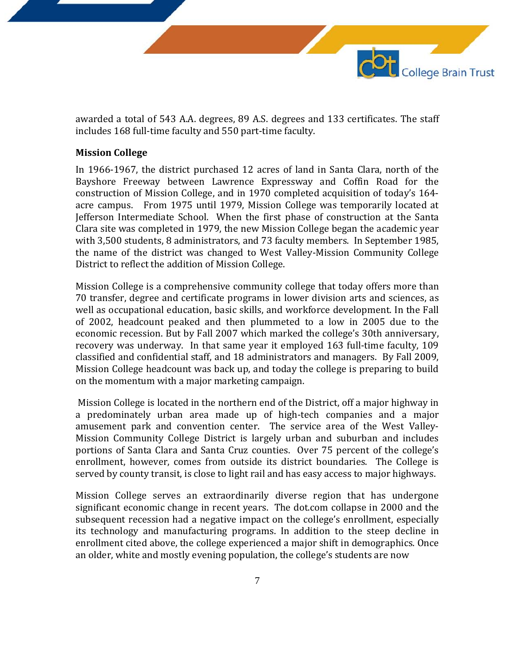

awarded a total of 543 A.A. degrees, 89 A.S. degrees and 133 certificates. The staff includes 168 full-time faculty and 550 part-time faculty.

### **Mission College**

In 1966-1967, the district purchased 12 acres of land in Santa Clara, north of the Bayshore Freeway between Lawrence Expressway and Coffin Road for the construction of Mission College, and in 1970 completed acquisition of today's 164 acre campus. From 1975 until 1979, Mission College was temporarily located at Jefferson Intermediate School. When the first phase of construction at the Santa Clara site was completed in 1979, the new Mission College began the academic year with 3,500 students, 8 administrators, and 73 faculty members. In September 1985, the name of the district was changed to West Valley-Mission Community College District to reflect the addition of Mission College.

Mission College is a comprehensive community college that today offers more than 70 transfer, degree and certificate programs in lower division arts and sciences, as well as occupational education, basic skills, and workforce development. In the Fall of 2002, headcount peaked and then plummeted to a low in 2005 due to the economic recession. But by Fall 2007 which marked the college's 30th anniversary, recovery was underway. In that same year it employed 163 full-time faculty, 109 classified and confidential staff, and 18 administrators and managers. By Fall 2009, Mission College headcount was back up, and today the college is preparing to build on the momentum with a major marketing campaign.

Mission College is located in the northern end of the District, off a major highway in a predominately urban area made up of high-tech companies and a major amusement park and convention center. The service area of the West Valley-Mission Community College District is largely urban and suburban and includes portions of Santa Clara and Santa Cruz counties. Over 75 percent of the college's enrollment, however, comes from outside its district boundaries. The College is served by county transit, is close to light rail and has easy access to major highways.

Mission College serves an extraordinarily diverse region that has undergone significant economic change in recent years. The dot.com collapse in 2000 and the subsequent recession had a negative impact on the college's enrollment, especially its technology and manufacturing programs. In addition to the steep decline in enrollment cited above, the college experienced a major shift in demographics. Once an older, white and mostly evening population, the college's students are now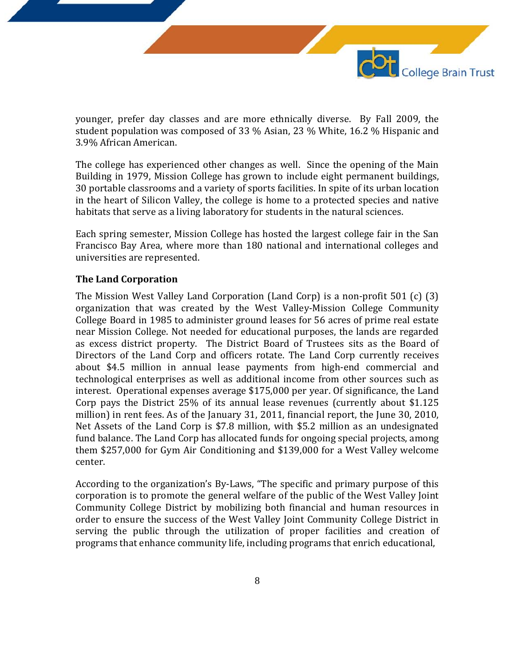

younger, prefer day classes and are more ethnically diverse. By Fall 2009, the student population was composed of 33 % Asian, 23 % White, 16.2 % Hispanic and 3.9% African American.

The college has experienced other changes as well. Since the opening of the Main Building in 1979, Mission College has grown to include eight permanent buildings, 30 portable classrooms and a variety of sports facilities. In spite of its urban location in the heart of Silicon Valley, the college is home to a protected species and native habitats that serve as a living laboratory for students in the natural sciences.

Each spring semester, Mission College has hosted the largest college fair in the San Francisco Bay Area, where more than 180 national and international colleges and universities are represented.

### **The Land Corporation**

The Mission West Valley Land Corporation (Land Corp) is a non-profit 501 (c) (3) organization that was created by the West Valley-Mission College Community College Board in 1985 to administer ground leases for 56 acres of prime real estate near Mission College. Not needed for educational purposes, the lands are regarded as excess district property. The District Board of Trustees sits as the Board of Directors of the Land Corp and officers rotate. The Land Corp currently receives about \$4.5 million in annual lease payments from high-end commercial and technological enterprises as well as additional income from other sources such as interest. Operational expenses average \$175,000 per year. Of significance, the Land Corp pays the District 25% of its annual lease revenues (currently about \$1.125 million) in rent fees. As of the January 31, 2011, financial report, the June 30, 2010, Net Assets of the Land Corp is \$7.8 million, with \$5.2 million as an undesignated fund balance. The Land Corp has allocated funds for ongoing special projects, among them \$257,000 for Gym Air Conditioning and \$139,000 for a West Valley welcome center.

According to the organization's By-Laws, "The specific and primary purpose of this corporation is to promote the general welfare of the public of the West Valley Joint Community College District by mobilizing both financial and human resources in order to ensure the success of the West Valley Joint Community College District in serving the public through the utilization of proper facilities and creation of programs that enhance community life, including programs that enrich educational,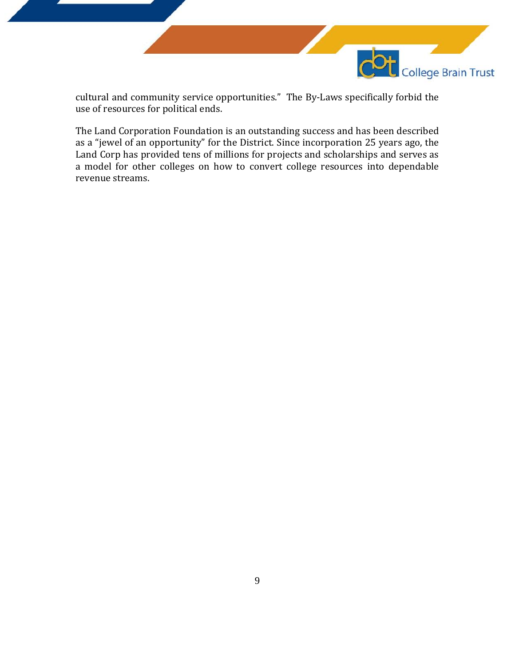

cultural and community service opportunities." The By-Laws specifically forbid the use of resources for political ends.

The Land Corporation Foundation is an outstanding success and has been described as a "jewel of an opportunity" for the District. Since incorporation 25 years ago, the Land Corp has provided tens of millions for projects and scholarships and serves as a model for other colleges on how to convert college resources into dependable revenue streams.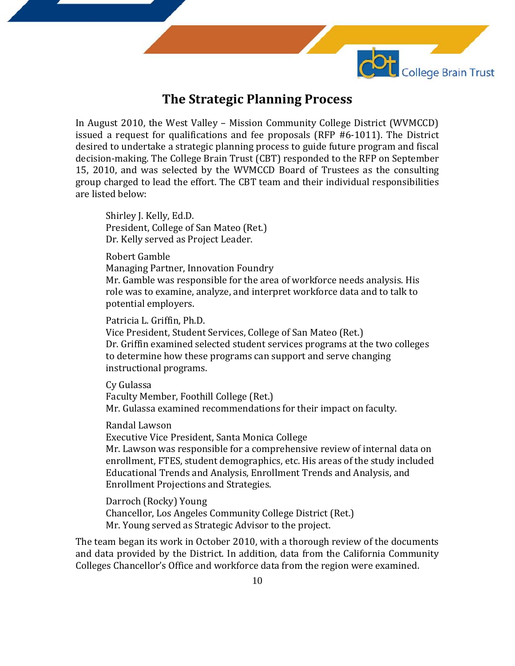

### **The Strategic Planning Process**

In August 2010, the West Valley – Mission Community College District (WVMCCD) issued a request for qualifications and fee proposals (RFP #6-1011). The District desired to undertake a strategic planning process to guide future program and fiscal decision-making. The College Brain Trust (CBT) responded to the RFP on September 15, 2010, and was selected by the WVMCCD Board of Trustees as the consulting group charged to lead the effort. The CBT team and their individual responsibilities are listed below:

Shirley J. Kelly, Ed.D. President, College of San Mateo (Ret.) Dr. Kelly served as Project Leader.

Robert Gamble

Managing Partner, Innovation Foundry

Mr. Gamble was responsible for the area of workforce needs analysis. His role was to examine, analyze, and interpret workforce data and to talk to potential employers.

Patricia L. Griffin, Ph.D.

Vice President, Student Services, College of San Mateo (Ret.) Dr. Griffin examined selected student services programs at the two colleges to determine how these programs can support and serve changing instructional programs.

Cy Gulassa Faculty Member, Foothill College (Ret.) Mr. Gulassa examined recommendations for their impact on faculty.

Randal Lawson

Executive Vice President, Santa Monica College

Mr. Lawson was responsible for a comprehensive review of internal data on enrollment, FTES, student demographics, etc. His areas of the study included Educational Trends and Analysis, Enrollment Trends and Analysis, and Enrollment Projections and Strategies.

Darroch (Rocky) Young Chancellor, Los Angeles Community College District (Ret.) Mr. Young served as Strategic Advisor to the project.

The team began its work in October 2010, with a thorough review of the documents and data provided by the District. In addition, data from the California Community Colleges Chancellor's Office and workforce data from the region were examined.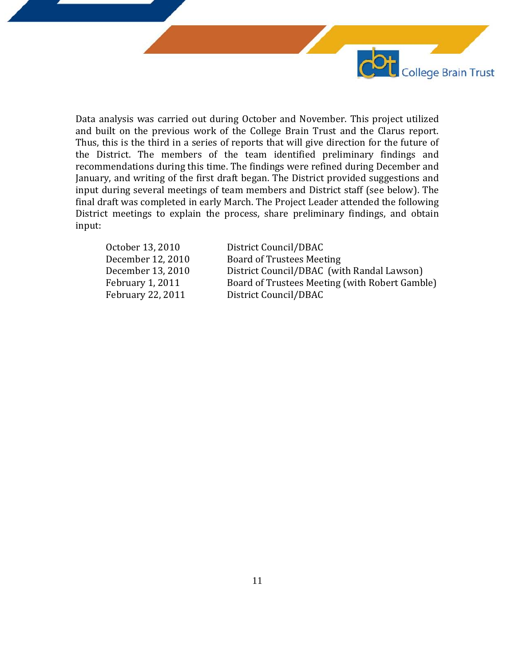

Data analysis was carried out during October and November. This project utilized and built on the previous work of the College Brain Trust and the Clarus report. Thus, this is the third in a series of reports that will give direction for the future of the District. The members of the team identified preliminary findings and recommendations during this time. The findings were refined during December and January, and writing of the first draft began. The District provided suggestions and input during several meetings of team members and District staff (see below). The final draft was completed in early March. The Project Leader attended the following District meetings to explain the process, share preliminary findings, and obtain input:

| October 13, 2010  | District Council/DBAC                          |
|-------------------|------------------------------------------------|
| December 12, 2010 | <b>Board of Trustees Meeting</b>               |
| December 13, 2010 | District Council/DBAC (with Randal Lawson)     |
| February 1, 2011  | Board of Trustees Meeting (with Robert Gamble) |
| February 22, 2011 | District Council/DBAC                          |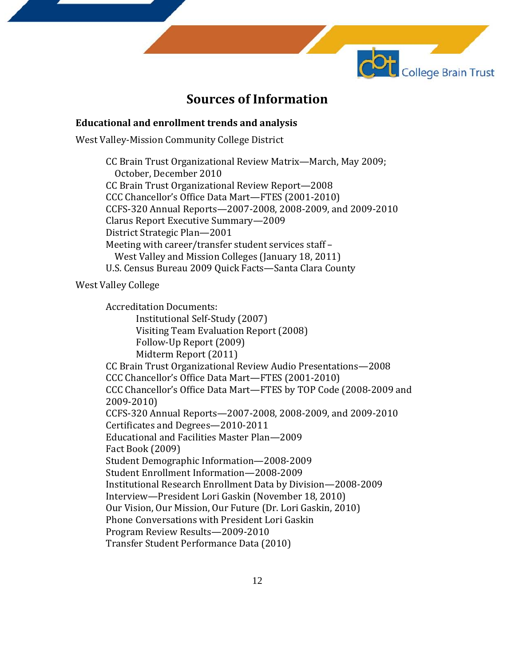

### **Sources of Information**

#### **Educational and enrollment trends and analysis**

West Valley-Mission Community College District

CC Brain Trust Organizational Review Matrix—March, May 2009; October, December 2010 CC Brain Trust Organizational Review Report—2008 CCC Chancellor's Office Data Mart—FTES (2001-2010) CCFS-320 Annual Reports—2007-2008, 2008-2009, and 2009-2010 Clarus Report Executive Summary—2009 District Strategic Plan—2001 Meeting with career/transfer student services staff – West Valley and Mission Colleges (January 18, 2011) U.S. Census Bureau 2009 Quick Facts—Santa Clara County

West Valley College

Accreditation Documents: Institutional Self-Study (2007) Visiting Team Evaluation Report (2008) Follow-Up Report (2009) Midterm Report (2011) CC Brain Trust Organizational Review Audio Presentations—2008 CCC Chancellor's Office Data Mart—FTES (2001-2010) CCC Chancellor's Office Data Mart—FTES by TOP Code (2008-2009 and 2009-2010) CCFS-320 Annual Reports—2007-2008, 2008-2009, and 2009-2010 Certificates and Degrees—2010-2011 Educational and Facilities Master Plan—2009 Fact Book (2009) Student Demographic Information—2008-2009 Student Enrollment Information—2008-2009 Institutional Research Enrollment Data by Division—2008-2009 Interview—President Lori Gaskin (November 18, 2010) Our Vision, Our Mission, Our Future (Dr. Lori Gaskin, 2010) Phone Conversations with President Lori Gaskin Program Review Results—2009-2010 Transfer Student Performance Data (2010)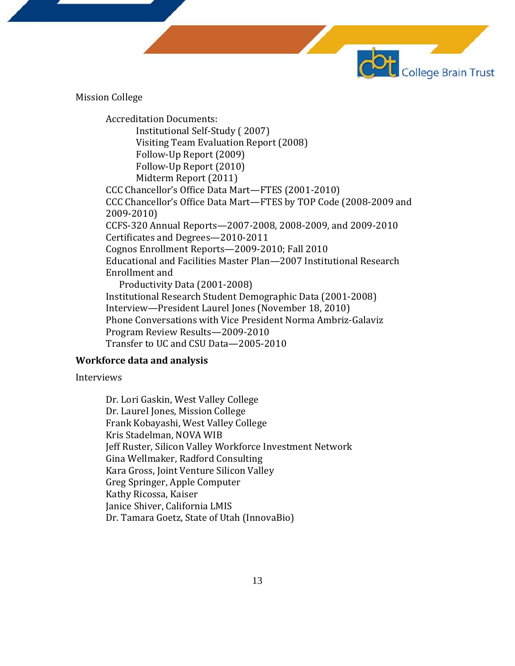Mission College

Accreditation Documents: Institutional Self-Study ( 2007) Visiting Team Evaluation Report (2008) Follow-Up Report (2009) Follow-Up Report (2010) Midterm Report (2011) CCC Chancellor's Office Data Mart—FTES (2001-2010) CCC Chancellor's Office Data Mart—FTES by TOP Code (2008-2009 and 2009-2010) CCFS-320 Annual Reports—2007-2008, 2008-2009, and 2009-2010 Certificates and Degrees—2010-2011 Cognos Enrollment Reports—2009-2010; Fall 2010 Educational and Facilities Master Plan—2007 Institutional Research Enrollment and Productivity Data (2001-2008) Institutional Research Student Demographic Data (2001-2008) Interview—President Laurel Jones (November 18, 2010) Phone Conversations with Vice President Norma Ambriz-Galaviz Program Review Results—2009-2010 Transfer to UC and CSU Data—2005-2010

**College Brain Trust** 

### **Workforce data and analysis**

#### Interviews

Dr. Lori Gaskin, West Valley College Dr. Laurel Jones, Mission College Frank Kobayashi, West Valley College Kris Stadelman, NOVA WIB Jeff Ruster, Silicon Valley Workforce Investment Network Gina Wellmaker, Radford Consulting Kara Gross, Joint Venture Silicon Valley Greg Springer, Apple Computer Kathy Ricossa, Kaiser Janice Shiver, California LMIS Dr. Tamara Goetz, State of Utah (InnovaBio)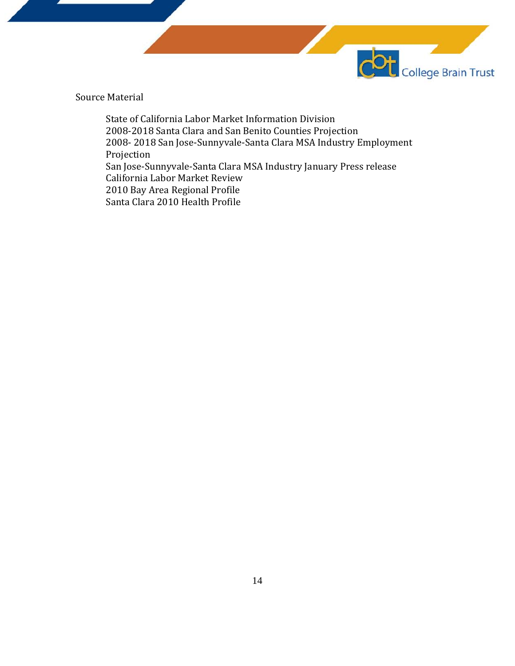

Source Material

State of California Labor Market Information Division 2008-2018 Santa Clara and San Benito Counties Projection 2008- 2018 San Jose-Sunnyvale-Santa Clara MSA Industry Employment Projection San Jose-Sunnyvale-Santa Clara MSA Industry January Press release California Labor Market Review 2010 Bay Area Regional Profile Santa Clara 2010 Health Profile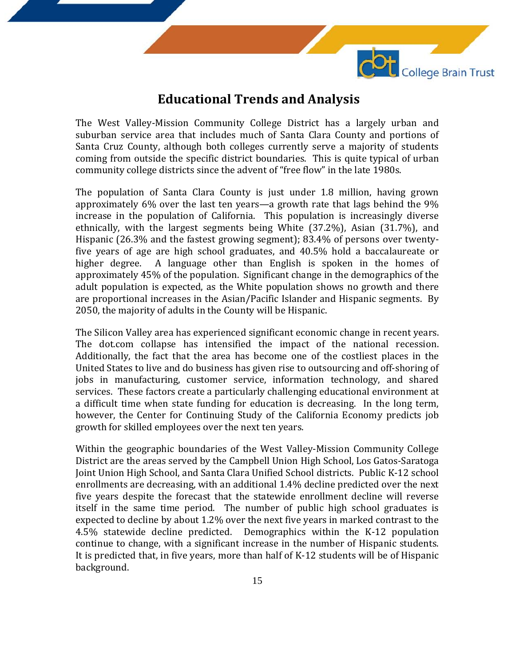

### **Educational Trends and Analysis**

The West Valley-Mission Community College District has a largely urban and suburban service area that includes much of Santa Clara County and portions of Santa Cruz County, although both colleges currently serve a majority of students coming from outside the specific district boundaries. This is quite typical of urban community college districts since the advent of "free flow" in the late 1980s.

The population of Santa Clara County is just under 1.8 million, having grown approximately 6% over the last ten years—a growth rate that lags behind the 9% increase in the population of California. This population is increasingly diverse ethnically, with the largest segments being White (37.2%), Asian (31.7%), and Hispanic (26.3% and the fastest growing segment); 83.4% of persons over twentyfive years of age are high school graduates, and 40.5% hold a baccalaureate or A language other than English is spoken in the homes of approximately 45% of the population. Significant change in the demographics of the adult population is expected, as the White population shows no growth and there are proportional increases in the Asian/Pacific Islander and Hispanic segments. By 2050, the majority of adults in the County will be Hispanic.

The Silicon Valley area has experienced significant economic change in recent years. The dot.com collapse has intensified the impact of the national recession. Additionally, the fact that the area has become one of the costliest places in the United States to live and do business has given rise to outsourcing and off-shoring of jobs in manufacturing, customer service, information technology, and shared services. These factors create a particularly challenging educational environment at a difficult time when state funding for education is decreasing. In the long term, however, the Center for Continuing Study of the California Economy predicts job growth for skilled employees over the next ten years.

Within the geographic boundaries of the West Valley-Mission Community College District are the areas served by the Campbell Union High School, Los Gatos-Saratoga Joint Union High School, and Santa Clara Unified School districts. Public K-12 school enrollments are decreasing, with an additional 1.4% decline predicted over the next five years despite the forecast that the statewide enrollment decline will reverse itself in the same time period. The number of public high school graduates is expected to decline by about 1.2% over the next five years in marked contrast to the 4.5% statewide decline predicted. Demographics within the K-12 population continue to change, with a significant increase in the number of Hispanic students. It is predicted that, in five years, more than half of K-12 students will be of Hispanic background.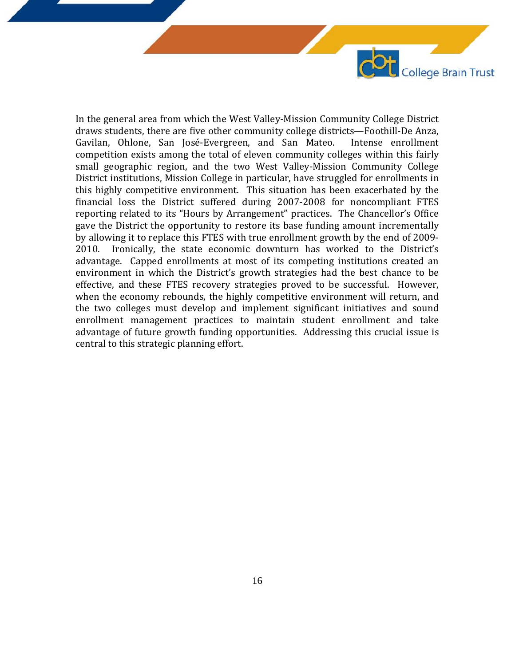In the general area from which the West Valley-Mission Community College District draws students, there are five other community college districts—Foothill-De Anza, Gavilan, Ohlone, San José-Evergreen, and San Mateo. competition exists among the total of eleven community colleges within this fairly small geographic region, and the two West Valley-Mission Community College District institutions, Mission College in particular, have struggled for enrollments in this highly competitive environment. This situation has been exacerbated by the financial loss the District suffered during 2007-2008 for noncompliant FTES reporting related to its "Hours by Arrangement" practices. The Chancellor's Office gave the District the opportunity to restore its base funding amount incrementally by allowing it to replace this FTES with true enrollment growth by the end of 2009- 2010. Ironically, the state economic downturn has worked to the District's advantage. Capped enrollments at most of its competing institutions created an environment in which the District's growth strategies had the best chance to be effective, and these FTES recovery strategies proved to be successful. However, when the economy rebounds, the highly competitive environment will return, and the two colleges must develop and implement significant initiatives and sound enrollment management practices to maintain student enrollment and take advantage of future growth funding opportunities. Addressing this crucial issue is central to this strategic planning effort.

College Brain Trust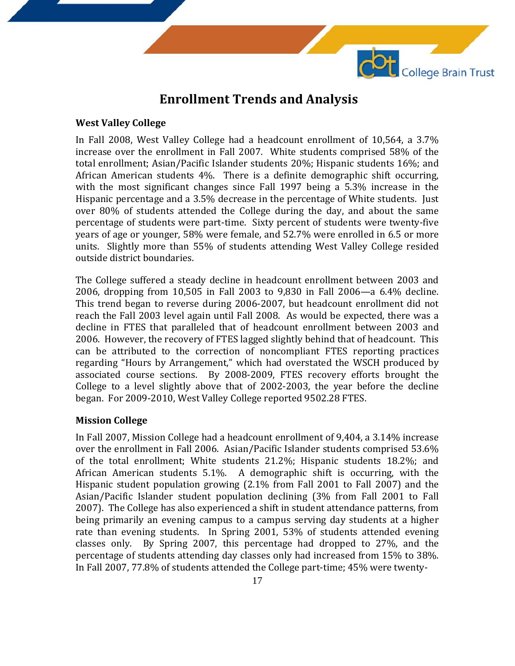

### **Enrollment Trends and Analysis**

### **West Valley College**

In Fall 2008, West Valley College had a headcount enrollment of 10,564, a 3.7% increase over the enrollment in Fall 2007. White students comprised 58% of the total enrollment; Asian/Pacific Islander students 20%; Hispanic students 16%; and African American students 4%. There is a definite demographic shift occurring, with the most significant changes since Fall 1997 being a 5.3% increase in the Hispanic percentage and a 3.5% decrease in the percentage of White students. Just over 80% of students attended the College during the day, and about the same percentage of students were part-time. Sixty percent of students were twenty-five years of age or younger, 58% were female, and 52.7% were enrolled in 6.5 or more units. Slightly more than 55% of students attending West Valley College resided outside district boundaries.

The College suffered a steady decline in headcount enrollment between 2003 and 2006, dropping from 10,505 in Fall 2003 to 9,830 in Fall 2006—a 6.4% decline. This trend began to reverse during 2006-2007, but headcount enrollment did not reach the Fall 2003 level again until Fall 2008. As would be expected, there was a decline in FTES that paralleled that of headcount enrollment between 2003 and 2006. However, the recovery of FTES lagged slightly behind that of headcount. This can be attributed to the correction of noncompliant FTES reporting practices regarding "Hours by Arrangement," which had overstated the WSCH produced by associated course sections. By 2008-2009, FTES recovery efforts brought the College to a level slightly above that of 2002-2003, the year before the decline began. For 2009-2010, West Valley College reported 9502.28 FTES.

### **Mission College**

In Fall 2007, Mission College had a headcount enrollment of 9,404, a 3.14% increase over the enrollment in Fall 2006. Asian/Pacific Islander students comprised 53.6% of the total enrollment; White students 21.2%; Hispanic students 18.2%; and African American students 5.1%. A demographic shift is occurring, with the Hispanic student population growing (2.1% from Fall 2001 to Fall 2007) and the Asian/Pacific Islander student population declining (3% from Fall 2001 to Fall 2007). The College has also experienced a shift in student attendance patterns, from being primarily an evening campus to a campus serving day students at a higher rate than evening students. In Spring 2001, 53% of students attended evening classes only. By Spring 2007, this percentage had dropped to 27%, and the By Spring 2007, this percentage had dropped to  $27\%$ , and the percentage of students attending day classes only had increased from 15% to 38%. In Fall 2007, 77.8% of students attended the College part-time; 45% were twenty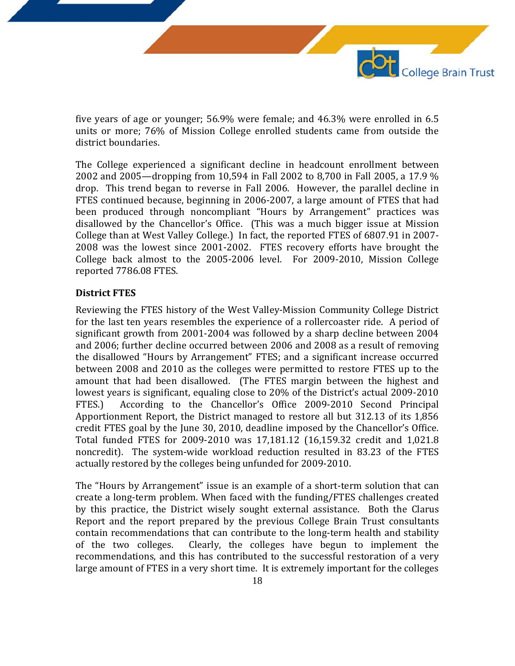five years of age or younger; 56.9% were female; and 46.3% were enrolled in 6.5 units or more; 76% of Mission College enrolled students came from outside the district boundaries.

College Brain Trust

The College experienced a significant decline in headcount enrollment between 2002 and 2005—dropping from 10,594 in Fall 2002 to 8,700 in Fall 2005, a 17.9 % drop. This trend began to reverse in Fall 2006. However, the parallel decline in FTES continued because, beginning in 2006-2007, a large amount of FTES that had been produced through noncompliant "Hours by Arrangement" practices was disallowed by the Chancellor's Office. (This was a much bigger issue at Mission College than at West Valley College.) In fact, the reported FTES of 6807.91 in 2007- 2008 was the lowest since 2001-2002. FTES recovery efforts have brought the College back almost to the 2005-2006 level. For 2009-2010, Mission College reported 7786.08 FTES.

#### **District FTES**

Reviewing the FTES history of the West Valley-Mission Community College District for the last ten years resembles the experience of a rollercoaster ride. A period of significant growth from 2001-2004 was followed by a sharp decline between 2004 and 2006; further decline occurred between 2006 and 2008 as a result of removing the disallowed "Hours by Arrangement" FTES; and a significant increase occurred between 2008 and 2010 as the colleges were permitted to restore FTES up to the amount that had been disallowed. (The FTES margin between the highest and lowest years is significant, equaling close to 20% of the District's actual 2009-2010<br>FTES.) According to the Chancellor's Office 2009-2010 Second Principal According to the Chancellor's Office 2009-2010 Second Principal Apportionment Report, the District managed to restore all but 312.13 of its 1,856 credit FTES goal by the June 30, 2010, deadline imposed by the Chancellor's Office. Total funded FTES for 2009-2010 was 17,181.12 (16,159.32 credit and 1,021.8 noncredit). The system-wide workload reduction resulted in 83.23 of the FTES actually restored by the colleges being unfunded for 2009-2010.

The "Hours by Arrangement" issue is an example of a short-term solution that can create a long-term problem. When faced with the funding/FTES challenges created by this practice, the District wisely sought external assistance. Both the Clarus Report and the report prepared by the previous College Brain Trust consultants contain recommendations that can contribute to the long-term health and stability<br>of the two colleges. Clearly, the colleges have begun to implement the Clearly, the colleges have begun to implement the recommendations, and this has contributed to the successful restoration of a very large amount of FTES in a very short time. It is extremely important for the colleges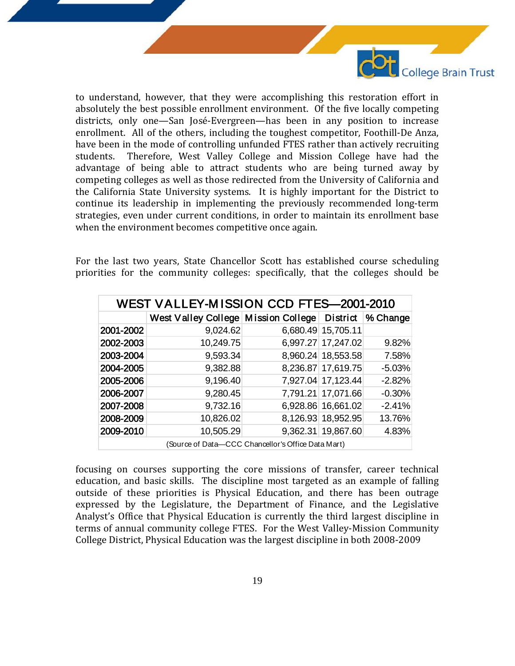

to understand, however, that they were accomplishing this restoration effort in absolutely the best possible enrollment environment. Of the five locally competing districts, only one—San José-Evergreen—has been in any position to increase enrollment. All of the others, including the toughest competitor, Foothill-De Anza, have been in the mode of controlling unfunded FTES rather than actively recruiting<br>students. Therefore. West Valley College and Mission College have had the Therefore, West Valley College and Mission College have had the advantage of being able to attract students who are being turned away by competing colleges as well as those redirected from the University of California and the California State University systems. It is highly important for the District to continue its leadership in implementing the previously recommended long-term strategies, even under current conditions, in order to maintain its enrollment base when the environment becomes competitive once again.

For the last two years, State Chancellor Scott has established course scheduling priorities for the community colleges: specifically, that the colleges should be

| WEST VALLEY-MISSION CCD FTES-2001-2010 |                                                       |  |                    |          |  |  |  |
|----------------------------------------|-------------------------------------------------------|--|--------------------|----------|--|--|--|
|                                        | West Valley College Mission College District % Change |  |                    |          |  |  |  |
| 2001-2002                              | 9,024.62                                              |  | 6,680.49 15,705.11 |          |  |  |  |
| 2002-2003                              | 10,249.75                                             |  | 6,997.27 17,247.02 | 9.82%    |  |  |  |
| 2003-2004                              | 9,593.34                                              |  | 8,960.24 18,553.58 | 7.58%    |  |  |  |
| 2004-2005                              | 9,382.88                                              |  | 8,236.87 17,619.75 | $-5.03%$ |  |  |  |
| 2005-2006                              | 9,196.40                                              |  | 7,927.04 17,123.44 | $-2.82%$ |  |  |  |
| 2006-2007                              | 9,280.45                                              |  | 7,791.21 17,071.66 | $-0.30%$ |  |  |  |
| 2007-2008                              | 9,732.16                                              |  | 6,928.86 16,661.02 | $-2.41%$ |  |  |  |
| 2008-2009                              | 10,826.02                                             |  | 8,126.93 18,952.95 | 13.76%   |  |  |  |
| 2009-2010                              | 10,505.29                                             |  | 9,362.31 19,867.60 | 4.83%    |  |  |  |
|                                        | (Source of Data-CCC Chancellor's Office Data Mart)    |  |                    |          |  |  |  |

focusing on courses supporting the core missions of transfer, career technical education, and basic skills. The discipline most targeted as an example of falling outside of these priorities is Physical Education, and there has been outrage expressed by the Legislature, the Department of Finance, and the Legislative Analyst's Office that Physical Education is currently the third largest discipline in terms of annual community college FTES. For the West Valley-Mission Community College District, Physical Education was the largest discipline in both 2008-2009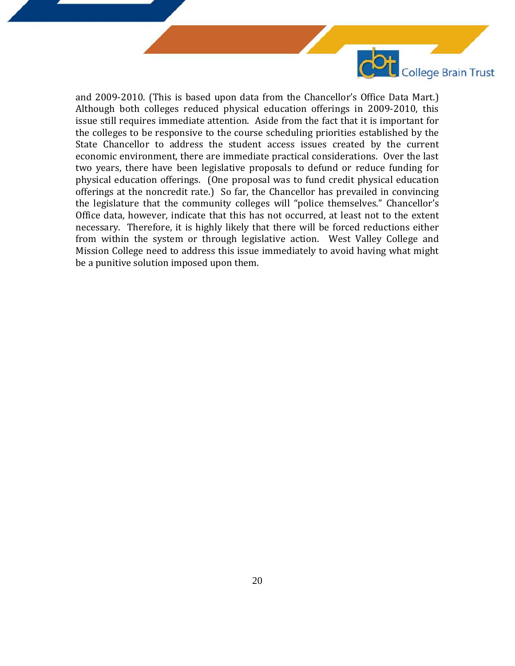

and 2009-2010. (This is based upon data from the Chancellor's Office Data Mart.) Although both colleges reduced physical education offerings in 2009-2010, this issue still requires immediate attention. Aside from the fact that it is important for the colleges to be responsive to the course scheduling priorities established by the State Chancellor to address the student access issues created by the current economic environment, there are immediate practical considerations. Over the last two years, there have been legislative proposals to defund or reduce funding for physical education offerings. (One proposal was to fund credit physical education offerings at the noncredit rate.) So far, the Chancellor has prevailed in convincing the legislature that the community colleges will "police themselves." Chancellor's Office data, however, indicate that this has not occurred, at least not to the extent necessary. Therefore, it is highly likely that there will be forced reductions either from within the system or through legislative action. West Valley College and Mission College need to address this issue immediately to avoid having what might be a punitive solution imposed upon them.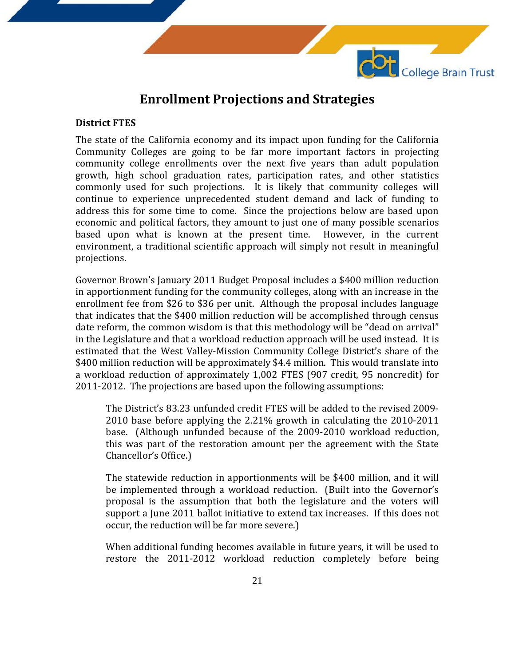

### **Enrollment Projections and Strategies**

### **District FTES**

The state of the California economy and its impact upon funding for the California Community Colleges are going to be far more important factors in projecting community college enrollments over the next five years than adult population growth, high school graduation rates, participation rates, and other statistics commonly used for such projections. It is likely that community colleges will continue to experience unprecedented student demand and lack of funding to address this for some time to come. Since the projections below are based upon economic and political factors, they amount to just one of many possible scenarios based upon what is known at the present time. However, in the current environment, a traditional scientific approach will simply not result in meaningful projections.

Governor Brown's January 2011 Budget Proposal includes a \$400 million reduction in apportionment funding for the community colleges, along with an increase in the enrollment fee from \$26 to \$36 per unit. Although the proposal includes language that indicates that the \$400 million reduction will be accomplished through census date reform, the common wisdom is that this methodology will be "dead on arrival" in the Legislature and that a workload reduction approach will be used instead. It is estimated that the West Valley-Mission Community College District's share of the \$400 million reduction will be approximately \$4.4 million. This would translate into a workload reduction of approximately 1,002 FTES (907 credit, 95 noncredit) for 2011-2012. The projections are based upon the following assumptions:

The District's 83.23 unfunded credit FTES will be added to the revised 2009- 2010 base before applying the 2.21% growth in calculating the 2010-2011 base. (Although unfunded because of the 2009-2010 workload reduction, this was part of the restoration amount per the agreement with the State Chancellor's Office.)

The statewide reduction in apportionments will be \$400 million, and it will be implemented through a workload reduction. (Built into the Governor's proposal is the assumption that both the legislature and the voters will support a June 2011 ballot initiative to extend tax increases. If this does not occur, the reduction will be far more severe.)

When additional funding becomes available in future years, it will be used to restore the 2011-2012 workload reduction completely before being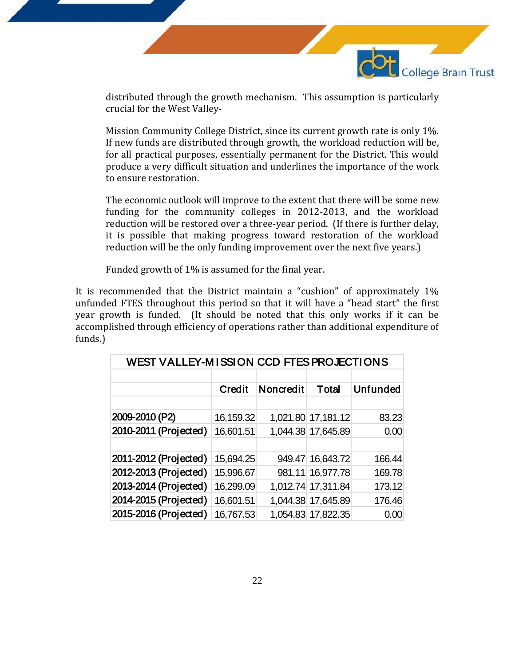

distributed through the growth mechanism. This assumption is particularly crucial for the West Valley-

Mission Community College District, since its current growth rate is only 1%. If new funds are distributed through growth, the workload reduction will be, for all practical purposes, essentially permanent for the District. This would produce a very difficult situation and underlines the importance of the work to ensure restoration.

The economic outlook will improve to the extent that there will be some new funding for the community colleges in 2012-2013, and the workload reduction will be restored over a three-year period. (If there is further delay, it is possible that making progress toward restoration of the workload reduction will be the only funding improvement over the next five years.)

Funded growth of 1% is assumed for the final year.

It is recommended that the District maintain a "cushion" of approximately 1% unfunded FTES throughout this period so that it will have a "head start" the first year growth is funded. (It should be noted that this only works if it can be accomplished through efficiency of operations rather than additional expenditure of funds.)

| WEST VALLEY-MISSION CCD FTES PROJECTIONS |           |           |                    |                 |  |  |  |
|------------------------------------------|-----------|-----------|--------------------|-----------------|--|--|--|
|                                          |           |           |                    |                 |  |  |  |
|                                          | Credit    | Noncredit | Total              | <b>Unfunded</b> |  |  |  |
|                                          |           |           |                    |                 |  |  |  |
| 2009-2010 (P2)                           | 16,159.32 |           | 1,021.80 17,181.12 | 83.23           |  |  |  |
| 2010-2011 (Projected)                    | 16,601.51 |           | 1,044.38 17,645.89 | 0.00            |  |  |  |
|                                          |           |           |                    |                 |  |  |  |
| 2011-2012 (Projected)                    | 15,694.25 |           | 949.47 16,643.72   | 166.44          |  |  |  |
| 2012-2013 (Projected)                    | 15,996.67 |           | 981.11 16,977.78   | 169.78          |  |  |  |
| 2013-2014 (Projected)                    | 16,299.09 |           | 1,012.74 17,311.84 | 173.12          |  |  |  |
| 2014-2015 (Projected)                    | 16,601.51 |           | 1,044.38 17,645.89 | 176.46          |  |  |  |
| 2015-2016 (Projected)                    | 16,767.53 |           | 1,054.83 17,822.35 | 0.00            |  |  |  |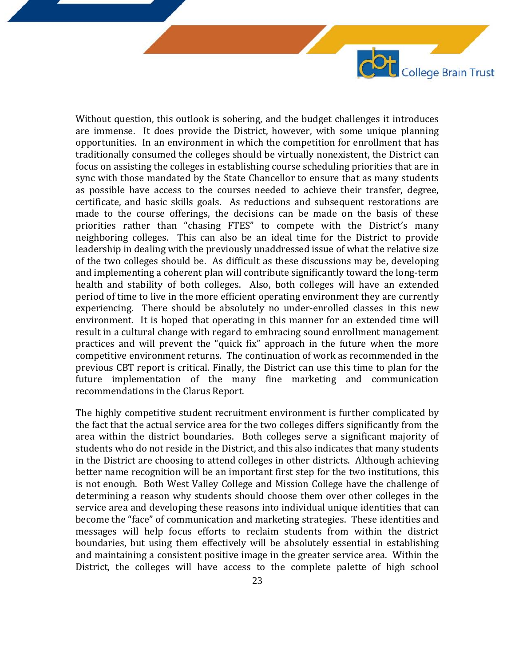Without question, this outlook is sobering, and the budget challenges it introduces are immense. It does provide the District, however, with some unique planning opportunities. In an environment in which the competition for enrollment that has traditionally consumed the colleges should be virtually nonexistent, the District can focus on assisting the colleges in establishing course scheduling priorities that are in sync with those mandated by the State Chancellor to ensure that as many students as possible have access to the courses needed to achieve their transfer, degree, certificate, and basic skills goals. As reductions and subsequent restorations are made to the course offerings, the decisions can be made on the basis of these priorities rather than "chasing FTES" to compete with the District's many neighboring colleges. This can also be an ideal time for the District to provide leadership in dealing with the previously unaddressed issue of what the relative size of the two colleges should be. As difficult as these discussions may be, developing and implementing a coherent plan will contribute significantly toward the long-term health and stability of both colleges. Also, both colleges will have an extended period of time to live in the more efficient operating environment they are currently experiencing. There should be absolutely no under-enrolled classes in this new environment. It is hoped that operating in this manner for an extended time will result in a cultural change with regard to embracing sound enrollment management practices and will prevent the "quick fix" approach in the future when the more competitive environment returns. The continuation of work as recommended in the previous CBT report is critical. Finally, the District can use this time to plan for the future implementation of the many fine marketing and communication recommendations in the Clarus Report.

COL College Brain Trust

The highly competitive student recruitment environment is further complicated by the fact that the actual service area for the two colleges differs significantly from the area within the district boundaries. Both colleges serve a significant majority of students who do not reside in the District, and this also indicates that many students in the District are choosing to attend colleges in other districts. Although achieving better name recognition will be an important first step for the two institutions, this is not enough. Both West Valley College and Mission College have the challenge of determining a reason why students should choose them over other colleges in the service area and developing these reasons into individual unique identities that can become the "face" of communication and marketing strategies. These identities and messages will help focus efforts to reclaim students from within the district boundaries, but using them effectively will be absolutely essential in establishing and maintaining a consistent positive image in the greater service area. Within the District, the colleges will have access to the complete palette of high school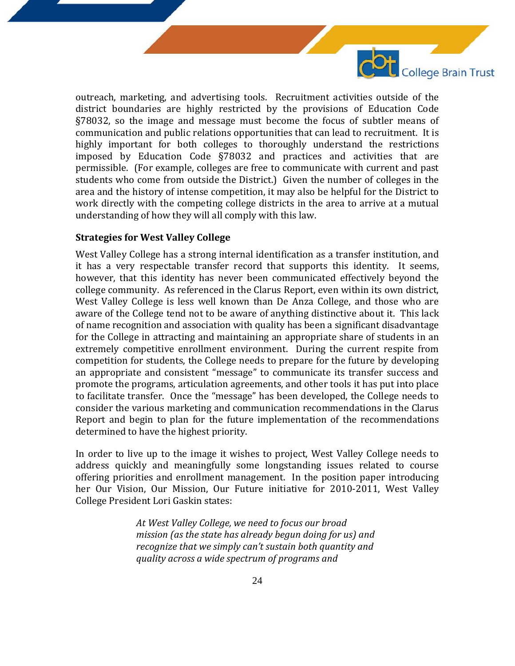

outreach, marketing, and advertising tools. Recruitment activities outside of the district boundaries are highly restricted by the provisions of Education Code §78032, so the image and message must become the focus of subtler means of communication and public relations opportunities that can lead to recruitment. It is highly important for both colleges to thoroughly understand the restrictions imposed by Education Code §78032 and practices and activities that are permissible. (For example, colleges are free to communicate with current and past students who come from outside the District.) Given the number of colleges in the area and the history of intense competition, it may also be helpful for the District to work directly with the competing college districts in the area to arrive at a mutual understanding of how they will all comply with this law.

#### **Strategies for West Valley College**

West Valley College has a strong internal identification as a transfer institution, and it has a very respectable transfer record that supports this identity. It seems, however, that this identity has never been communicated effectively beyond the college community. As referenced in the Clarus Report, even within its own district, West Valley College is less well known than De Anza College, and those who are aware of the College tend not to be aware of anything distinctive about it. This lack of name recognition and association with quality has been a significant disadvantage for the College in attracting and maintaining an appropriate share of students in an extremely competitive enrollment environment. During the current respite from competition for students, the College needs to prepare for the future by developing an appropriate and consistent "message" to communicate its transfer success and promote the programs, articulation agreements, and other tools it has put into place to facilitate transfer. Once the "message" has been developed, the College needs to consider the various marketing and communication recommendations in the Clarus Report and begin to plan for the future implementation of the recommendations determined to have the highest priority.

In order to live up to the image it wishes to project, West Valley College needs to address quickly and meaningfully some longstanding issues related to course offering priorities and enrollment management. In the position paper introducing her Our Vision, Our Mission, Our Future initiative for 2010-2011, West Valley College President Lori Gaskin states:

> *At West Valley College, we need to focus our broad mission (as the state has already begun doing for us) and recognize that we simply can't sustain both quantity and quality across a wide spectrum of programs and*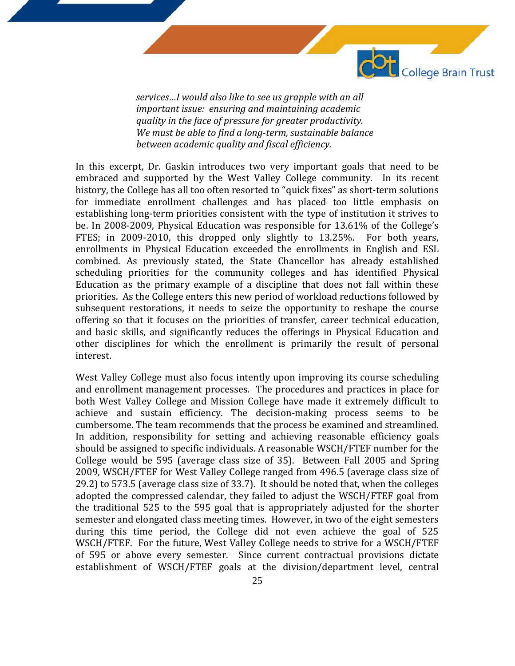

*services…I would also like to see us grapple with an all important issue: ensuring and maintaining academic quality in the face of pressure for greater productivity. We must be able to find a long-term, sustainable balance between academic quality and fiscal efficiency.*

In this excerpt, Dr. Gaskin introduces two very important goals that need to be embraced and supported by the West Valley College community. In its recent history, the College has all too often resorted to "quick fixes" as short-term solutions for immediate enrollment challenges and has placed too little emphasis on establishing long-term priorities consistent with the type of institution it strives to be. In 2008-2009, Physical Education was responsible for 13.61% of the College's FTES; in 2009-2010, this dropped only slightly to 13.25%. For both years, enrollments in Physical Education exceeded the enrollments in English and ESL combined. As previously stated, the State Chancellor has already established scheduling priorities for the community colleges and has identified Physical Education as the primary example of a discipline that does not fall within these priorities. As the College enters this new period of workload reductions followed by subsequent restorations, it needs to seize the opportunity to reshape the course offering so that it focuses on the priorities of transfer, career technical education, and basic skills, and significantly reduces the offerings in Physical Education and other disciplines for which the enrollment is primarily the result of personal interest.

West Valley College must also focus intently upon improving its course scheduling and enrollment management processes. The procedures and practices in place for both West Valley College and Mission College have made it extremely difficult to achieve and sustain efficiency. The decision-making process seems to be cumbersome. The team recommends that the process be examined and streamlined. In addition, responsibility for setting and achieving reasonable efficiency goals should be assigned to specific individuals. A reasonable WSCH/FTEF number for the College would be 595 (average class size of 35). Between Fall 2005 and Spring 2009, WSCH/FTEF for West Valley College ranged from 496.5 (average class size of 29.2) to 573.5 (average class size of 33.7). It should be noted that, when the colleges adopted the compressed calendar, they failed to adjust the WSCH/FTEF goal from the traditional 525 to the 595 goal that is appropriately adjusted for the shorter semester and elongated class meeting times. However, in two of the eight semesters during this time period, the College did not even achieve the goal of 525 WSCH/FTEF. For the future, West Valley College needs to strive for a WSCH/FTEF of 595 or above every semester. Since current contractual provisions dictate establishment of WSCH/FTEF goals at the division/department level, central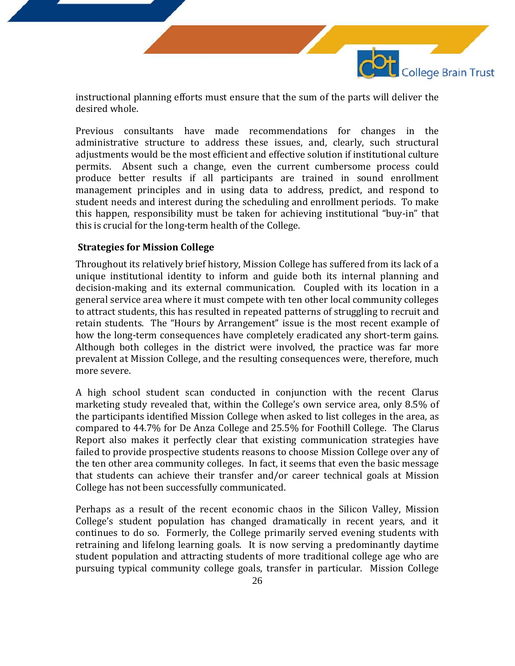instructional planning efforts must ensure that the sum of the parts will deliver the desired whole.

College Brain Trust

Previous consultants have made recommendations for changes in the administrative structure to address these issues, and, clearly, such structural adjustments would be the most efficient and effective solution if institutional culture permits. Absent such a change, even the current cumbersome process could produce better results if all participants are trained in sound enrollment management principles and in using data to address, predict, and respond to student needs and interest during the scheduling and enrollment periods. To make this happen, responsibility must be taken for achieving institutional "buy-in" that this is crucial for the long-term health of the College.

#### **Strategies for Mission College**

Throughout its relatively brief history, Mission College has suffered from its lack of a unique institutional identity to inform and guide both its internal planning and decision-making and its external communication. Coupled with its location in a general service area where it must compete with ten other local community colleges to attract students, this has resulted in repeated patterns of struggling to recruit and retain students. The "Hours by Arrangement" issue is the most recent example of how the long-term consequences have completely eradicated any short-term gains. Although both colleges in the district were involved, the practice was far more prevalent at Mission College, and the resulting consequences were, therefore, much more severe.

A high school student scan conducted in conjunction with the recent Clarus marketing study revealed that, within the College's own service area, only 8.5% of the participants identified Mission College when asked to list colleges in the area, as compared to 44.7% for De Anza College and 25.5% for Foothill College. The Clarus Report also makes it perfectly clear that existing communication strategies have failed to provide prospective students reasons to choose Mission College over any of the ten other area community colleges. In fact, it seems that even the basic message that students can achieve their transfer and/or career technical goals at Mission College has not been successfully communicated.

Perhaps as a result of the recent economic chaos in the Silicon Valley, Mission College's student population has changed dramatically in recent years, and it continues to do so. Formerly, the College primarily served evening students with retraining and lifelong learning goals. It is now serving a predominantly daytime student population and attracting students of more traditional college age who are pursuing typical community college goals, transfer in particular. Mission College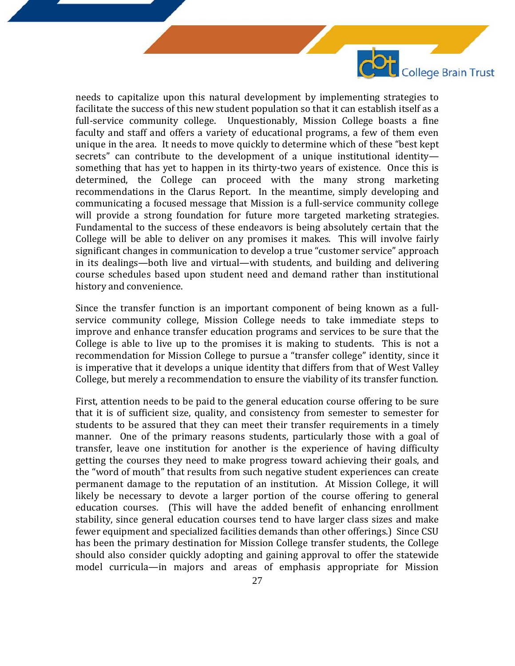needs to capitalize upon this natural development by implementing strategies to facilitate the success of this new student population so that it can establish itself as a full-service community college. Unquestionably, Mission College boasts a fine faculty and staff and offers a variety of educational programs, a few of them even unique in the area. It needs to move quickly to determine which of these "best kept secrets" can contribute to the development of a unique institutional identity something that has yet to happen in its thirty-two years of existence. Once this is determined, the College can proceed with the many strong marketing recommendations in the Clarus Report. In the meantime, simply developing and communicating a focused message that Mission is a full-service community college will provide a strong foundation for future more targeted marketing strategies. Fundamental to the success of these endeavors is being absolutely certain that the College will be able to deliver on any promises it makes. This will involve fairly significant changes in communication to develop a true "customer service" approach in its dealings—both live and virtual—with students, and building and delivering course schedules based upon student need and demand rather than institutional history and convenience.

College Brain Trust

Since the transfer function is an important component of being known as a fullservice community college, Mission College needs to take immediate steps to improve and enhance transfer education programs and services to be sure that the College is able to live up to the promises it is making to students. This is not a recommendation for Mission College to pursue a "transfer college" identity, since it is imperative that it develops a unique identity that differs from that of West Valley College, but merely a recommendation to ensure the viability of its transfer function.

First, attention needs to be paid to the general education course offering to be sure that it is of sufficient size, quality, and consistency from semester to semester for students to be assured that they can meet their transfer requirements in a timely manner. One of the primary reasons students, particularly those with a goal of transfer, leave one institution for another is the experience of having difficulty getting the courses they need to make progress toward achieving their goals, and the "word of mouth" that results from such negative student experiences can create permanent damage to the reputation of an institution. At Mission College, it will likely be necessary to devote a larger portion of the course offering to general education courses. (This will have the added benefit of enhancing enrollment stability, since general education courses tend to have larger class sizes and make fewer equipment and specialized facilities demands than other offerings.) Since CSU has been the primary destination for Mission College transfer students, the College should also consider quickly adopting and gaining approval to offer the statewide model curricula—in majors and areas of emphasis appropriate for Mission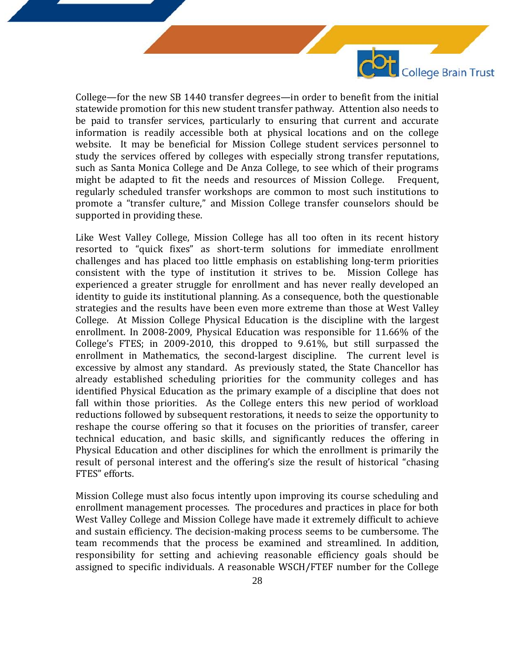College—for the new SB 1440 transfer degrees—in order to benefit from the initial statewide promotion for this new student transfer pathway. Attention also needs to be paid to transfer services, particularly to ensuring that current and accurate information is readily accessible both at physical locations and on the college website. It may be beneficial for Mission College student services personnel to study the services offered by colleges with especially strong transfer reputations, such as Santa Monica College and De Anza College, to see which of their programs<br>might be adapted to fit the needs and resources of Mission College. Frequent. might be adapted to fit the needs and resources of Mission College. regularly scheduled transfer workshops are common to most such institutions to promote a "transfer culture," and Mission College transfer counselors should be supported in providing these.

College Brain Trust

Like West Valley College, Mission College has all too often in its recent history resorted to "quick fixes" as short-term solutions for immediate enrollment challenges and has placed too little emphasis on establishing long-term priorities consistent with the type of institution it strives to be. Mission College has experienced a greater struggle for enrollment and has never really developed an identity to guide its institutional planning. As a consequence, both the questionable strategies and the results have been even more extreme than those at West Valley College. At Mission College Physical Education is the discipline with the largest enrollment. In 2008-2009, Physical Education was responsible for 11.66% of the College's FTES; in 2009-2010, this dropped to 9.61%, but still surpassed the enrollment in Mathematics, the second-largest discipline. The current level is excessive by almost any standard. As previously stated, the State Chancellor has already established scheduling priorities for the community colleges and has identified Physical Education as the primary example of a discipline that does not fall within those priorities. As the College enters this new period of workload reductions followed by subsequent restorations, it needs to seize the opportunity to reshape the course offering so that it focuses on the priorities of transfer, career technical education, and basic skills, and significantly reduces the offering in Physical Education and other disciplines for which the enrollment is primarily the result of personal interest and the offering's size the result of historical "chasing FTES" efforts.

Mission College must also focus intently upon improving its course scheduling and enrollment management processes. The procedures and practices in place for both West Valley College and Mission College have made it extremely difficult to achieve and sustain efficiency. The decision-making process seems to be cumbersome. The team recommends that the process be examined and streamlined. In addition, responsibility for setting and achieving reasonable efficiency goals should be assigned to specific individuals. A reasonable WSCH/FTEF number for the College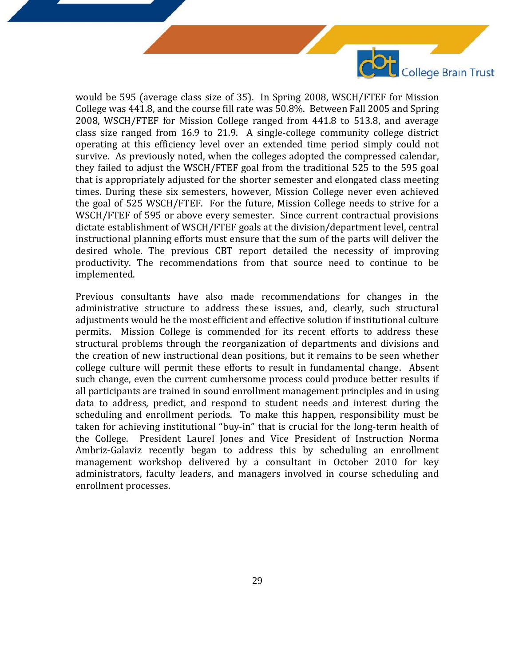

College Brain Trust

Previous consultants have also made recommendations for changes in the administrative structure to address these issues, and, clearly, such structural adjustments would be the most efficient and effective solution if institutional culture permits. Mission College is commended for its recent efforts to address these structural problems through the reorganization of departments and divisions and the creation of new instructional dean positions, but it remains to be seen whether college culture will permit these efforts to result in fundamental change. Absent such change, even the current cumbersome process could produce better results if all participants are trained in sound enrollment management principles and in using data to address, predict, and respond to student needs and interest during the scheduling and enrollment periods. To make this happen, responsibility must be taken for achieving institutional "buy-in" that is crucial for the long-term health of the College. President Laurel Jones and Vice President of Instruction Norma Ambriz-Galaviz recently began to address this by scheduling an enrollment management workshop delivered by a consultant in October 2010 for key administrators, faculty leaders, and managers involved in course scheduling and enrollment processes.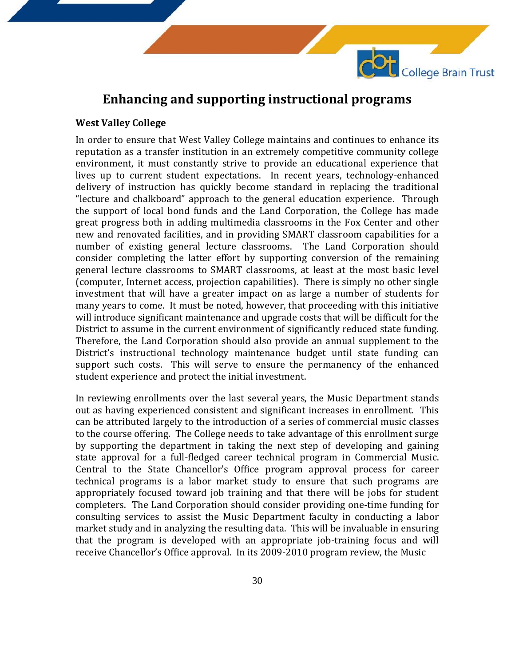

College Brain Trust

#### **West Valley College**

In order to ensure that West Valley College maintains and continues to enhance its reputation as a transfer institution in an extremely competitive community college environment, it must constantly strive to provide an educational experience that lives up to current student expectations. In recent years, technology-enhanced delivery of instruction has quickly become standard in replacing the traditional "lecture and chalkboard" approach to the general education experience. Through the support of local bond funds and the Land Corporation, the College has made great progress both in adding multimedia classrooms in the Fox Center and other new and renovated facilities, and in providing SMART classroom capabilities for a number of existing general lecture classrooms. The Land Corporation should consider completing the latter effort by supporting conversion of the remaining general lecture classrooms to SMART classrooms, at least at the most basic level (computer, Internet access, projection capabilities). There is simply no other single investment that will have a greater impact on as large a number of students for many years to come. It must be noted, however, that proceeding with this initiative will introduce significant maintenance and upgrade costs that will be difficult for the District to assume in the current environment of significantly reduced state funding. Therefore, the Land Corporation should also provide an annual supplement to the District's instructional technology maintenance budget until state funding can support such costs. This will serve to ensure the permanency of the enhanced student experience and protect the initial investment.

In reviewing enrollments over the last several years, the Music Department stands out as having experienced consistent and significant increases in enrollment. This can be attributed largely to the introduction of a series of commercial music classes to the course offering. The College needs to take advantage of this enrollment surge by supporting the department in taking the next step of developing and gaining state approval for a full-fledged career technical program in Commercial Music. Central to the State Chancellor's Office program approval process for career technical programs is a labor market study to ensure that such programs are appropriately focused toward job training and that there will be jobs for student completers. The Land Corporation should consider providing one-time funding for consulting services to assist the Music Department faculty in conducting a labor market study and in analyzing the resulting data. This will be invaluable in ensuring that the program is developed with an appropriate job-training focus and will receive Chancellor's Office approval. In its 2009-2010 program review, the Music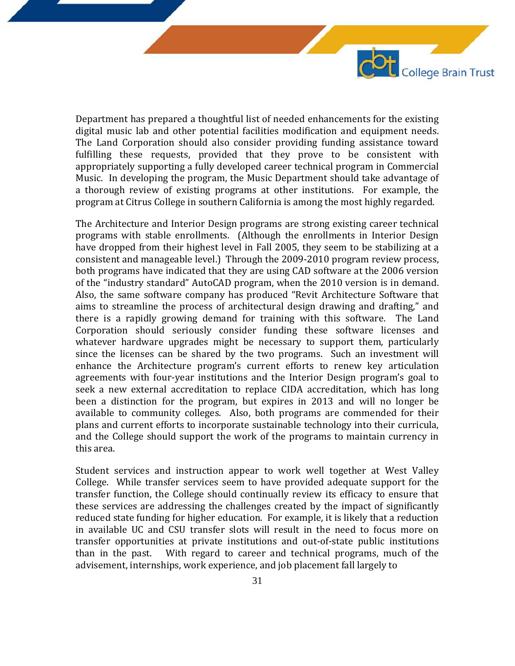Department has prepared a thoughtful list of needed enhancements for the existing digital music lab and other potential facilities modification and equipment needs. The Land Corporation should also consider providing funding assistance toward fulfilling these requests, provided that they prove to be consistent with appropriately supporting a fully developed career technical program in Commercial Music. In developing the program, the Music Department should take advantage of a thorough review of existing programs at other institutions. For example, the program at Citrus College in southern California is among the most highly regarded.

College Brain Trust

The Architecture and Interior Design programs are strong existing career technical programs with stable enrollments. (Although the enrollments in Interior Design have dropped from their highest level in Fall 2005, they seem to be stabilizing at a consistent and manageable level.) Through the 2009-2010 program review process, both programs have indicated that they are using CAD software at the 2006 version of the "industry standard" AutoCAD program, when the 2010 version is in demand. Also, the same software company has produced "Revit Architecture Software that aims to streamline the process of architectural design drawing and drafting," and there is a rapidly growing demand for training with this software. The Land Corporation should seriously consider funding these software licenses and whatever hardware upgrades might be necessary to support them, particularly since the licenses can be shared by the two programs. Such an investment will enhance the Architecture program's current efforts to renew key articulation agreements with four-year institutions and the Interior Design program's goal to seek a new external accreditation to replace CIDA accreditation, which has long been a distinction for the program, but expires in 2013 and will no longer be available to community colleges. Also, both programs are commended for their plans and current efforts to incorporate sustainable technology into their curricula, and the College should support the work of the programs to maintain currency in this area.

Student services and instruction appear to work well together at West Valley College. While transfer services seem to have provided adequate support for the transfer function, the College should continually review its efficacy to ensure that these services are addressing the challenges created by the impact of significantly reduced state funding for higher education. For example, it is likely that a reduction in available UC and CSU transfer slots will result in the need to focus more on transfer opportunities at private institutions and out-of-state public institutions With regard to career and technical programs, much of the advisement, internships, work experience, and job placement fall largely to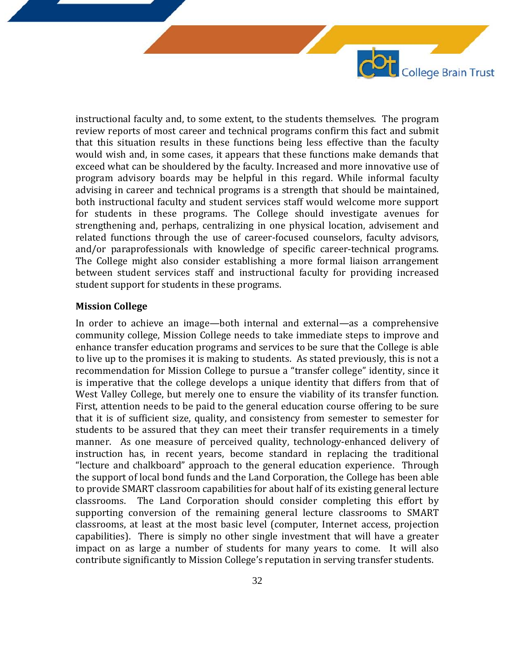instructional faculty and, to some extent, to the students themselves. The program review reports of most career and technical programs confirm this fact and submit that this situation results in these functions being less effective than the faculty would wish and, in some cases, it appears that these functions make demands that exceed what can be shouldered by the faculty. Increased and more innovative use of program advisory boards may be helpful in this regard. While informal faculty advising in career and technical programs is a strength that should be maintained, both instructional faculty and student services staff would welcome more support for students in these programs. The College should investigate avenues for strengthening and, perhaps, centralizing in one physical location, advisement and related functions through the use of career-focused counselors, faculty advisors, and/or paraprofessionals with knowledge of specific career-technical programs. The College might also consider establishing a more formal liaison arrangement between student services staff and instructional faculty for providing increased student support for students in these programs.

Ot College Brain Trust

#### **Mission College**

In order to achieve an image—both internal and external—as a comprehensive community college, Mission College needs to take immediate steps to improve and enhance transfer education programs and services to be sure that the College is able to live up to the promises it is making to students. As stated previously, this is not a recommendation for Mission College to pursue a "transfer college" identity, since it is imperative that the college develops a unique identity that differs from that of West Valley College, but merely one to ensure the viability of its transfer function. First, attention needs to be paid to the general education course offering to be sure that it is of sufficient size, quality, and consistency from semester to semester for students to be assured that they can meet their transfer requirements in a timely manner. As one measure of perceived quality, technology-enhanced delivery of instruction has, in recent years, become standard in replacing the traditional "lecture and chalkboard" approach to the general education experience. Through the support of local bond funds and the Land Corporation, the College has been able to provide SMART classroom capabilities for about half of its existing general lecture The Land Corporation should consider completing this effort by supporting conversion of the remaining general lecture classrooms to SMART classrooms, at least at the most basic level (computer, Internet access, projection capabilities). There is simply no other single investment that will have a greater impact on as large a number of students for many years to come. It will also contribute significantly to Mission College's reputation in serving transfer students.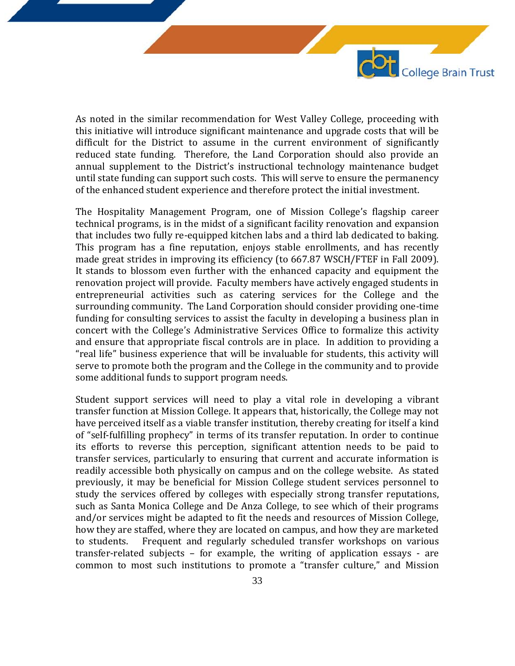As noted in the similar recommendation for West Valley College, proceeding with this initiative will introduce significant maintenance and upgrade costs that will be difficult for the District to assume in the current environment of significantly reduced state funding. Therefore, the Land Corporation should also provide an annual supplement to the District's instructional technology maintenance budget until state funding can support such costs. This will serve to ensure the permanency of the enhanced student experience and therefore protect the initial investment.

COL College Brain Trust

The Hospitality Management Program, one of Mission College's flagship career technical programs, is in the midst of a significant facility renovation and expansion that includes two fully re-equipped kitchen labs and a third lab dedicated to baking. This program has a fine reputation, enjoys stable enrollments, and has recently made great strides in improving its efficiency (to 667.87 WSCH/FTEF in Fall 2009). It stands to blossom even further with the enhanced capacity and equipment the renovation project will provide. Faculty members have actively engaged students in entrepreneurial activities such as catering services for the College and the surrounding community. The Land Corporation should consider providing one-time funding for consulting services to assist the faculty in developing a business plan in concert with the College's Administrative Services Office to formalize this activity and ensure that appropriate fiscal controls are in place. In addition to providing a "real life" business experience that will be invaluable for students, this activity will serve to promote both the program and the College in the community and to provide some additional funds to support program needs.

Student support services will need to play a vital role in developing a vibrant transfer function at Mission College. It appears that, historically, the College may not have perceived itself as a viable transfer institution, thereby creating for itself a kind of "self-fulfilling prophecy" in terms of its transfer reputation. In order to continue its efforts to reverse this perception, significant attention needs to be paid to transfer services, particularly to ensuring that current and accurate information is readily accessible both physically on campus and on the college website. As stated previously, it may be beneficial for Mission College student services personnel to study the services offered by colleges with especially strong transfer reputations, such as Santa Monica College and De Anza College, to see which of their programs and/or services might be adapted to fit the needs and resources of Mission College, how they are staffed, where they are located on campus, and how they are marketed<br>to students. Frequent and regularly scheduled transfer workshops on various Frequent and regularly scheduled transfer workshops on various transfer-related subjects – for example, the writing of application essays - are common to most such institutions to promote a "transfer culture," and Mission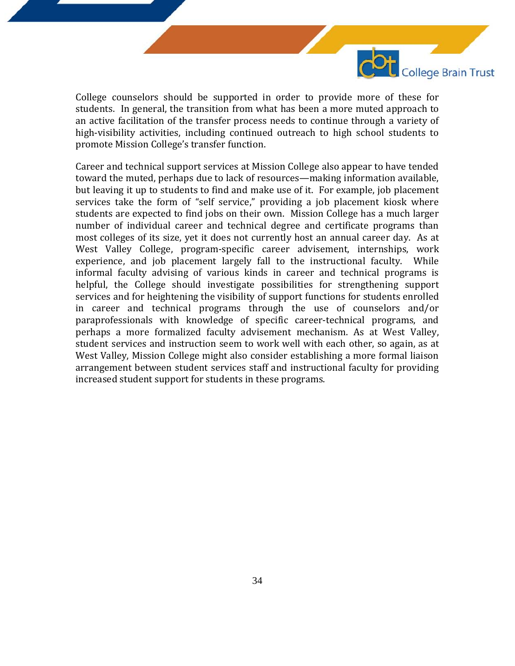

College counselors should be supported in order to provide more of these for students. In general, the transition from what has been a more muted approach to an active facilitation of the transfer process needs to continue through a variety of high-visibility activities, including continued outreach to high school students to promote Mission College's transfer function.

Career and technical support services at Mission College also appear to have tended toward the muted, perhaps due to lack of resources—making information available, but leaving it up to students to find and make use of it. For example, job placement services take the form of "self service," providing a job placement kiosk where students are expected to find jobs on their own. Mission College has a much larger number of individual career and technical degree and certificate programs than most colleges of its size, yet it does not currently host an annual career day. As at West Valley College, program-specific career advisement, internships, work experience, and job placement largely fall to the instructional faculty. While informal faculty advising of various kinds in career and technical programs is helpful, the College should investigate possibilities for strengthening support services and for heightening the visibility of support functions for students enrolled in career and technical programs through the use of counselors and/or paraprofessionals with knowledge of specific career-technical programs, and perhaps a more formalized faculty advisement mechanism. As at West Valley, student services and instruction seem to work well with each other, so again, as at West Valley, Mission College might also consider establishing a more formal liaison arrangement between student services staff and instructional faculty for providing increased student support for students in these programs.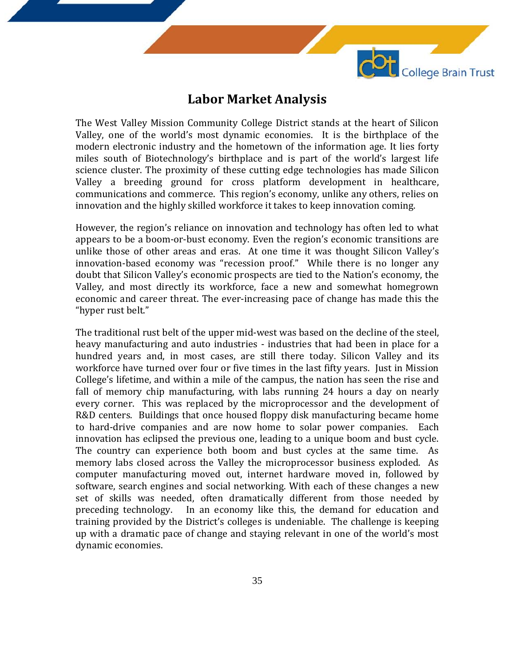

### **Labor Market Analysis**

The West Valley Mission Community College District stands at the heart of Silicon Valley, one of the world's most dynamic economies. It is the birthplace of the modern electronic industry and the hometown of the information age. It lies forty miles south of Biotechnology's birthplace and is part of the world's largest life science cluster. The proximity of these cutting edge technologies has made Silicon Valley a breeding ground for cross platform development in healthcare, communications and commerce. This region's economy, unlike any others, relies on innovation and the highly skilled workforce it takes to keep innovation coming.

However, the region's reliance on innovation and technology has often led to what appears to be a boom-or-bust economy. Even the region's economic transitions are unlike those of other areas and eras. At one time it was thought Silicon Valley's innovation-based economy was "recession proof." While there is no longer any doubt that Silicon Valley's economic prospects are tied to the Nation's economy, the Valley, and most directly its workforce, face a new and somewhat homegrown economic and career threat. The ever-increasing pace of change has made this the "hyper rust belt."

The traditional rust belt of the upper mid-west was based on the decline of the steel, heavy manufacturing and auto industries - industries that had been in place for a hundred years and, in most cases, are still there today. Silicon Valley and its workforce have turned over four or five times in the last fifty years. Just in Mission College's lifetime, and within a mile of the campus, the nation has seen the rise and fall of memory chip manufacturing, with labs running 24 hours a day on nearly every corner. This was replaced by the microprocessor and the development of R&D centers. Buildings that once housed floppy disk manufacturing became home to hard-drive companies and are now home to solar power companies. Each innovation has eclipsed the previous one, leading to a unique boom and bust cycle. The country can experience both boom and bust cycles at the same time. As memory labs closed across the Valley the microprocessor business exploded. As computer manufacturing moved out, internet hardware moved in, followed by software, search engines and social networking. With each of these changes a new set of skills was needed, often dramatically different from those needed by preceding technology. In an economy like this, the demand for education and In an economy like this, the demand for education and training provided by the District's colleges is undeniable. The challenge is keeping up with a dramatic pace of change and staying relevant in one of the world's most dynamic economies.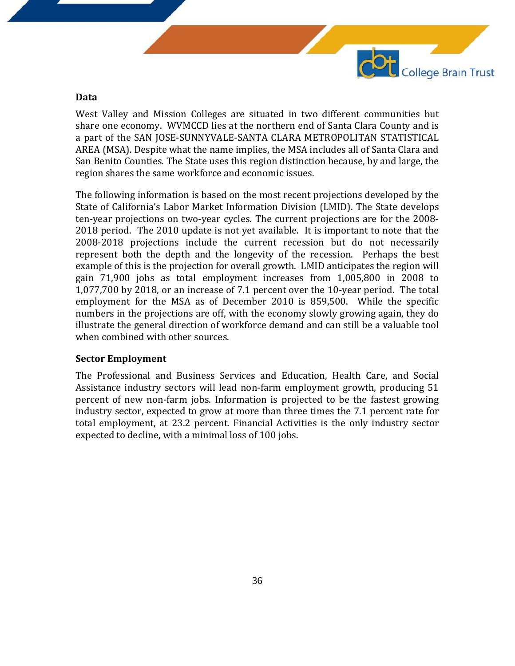

#### **Data**

West Valley and Mission Colleges are situated in two different communities but share one economy. WVMCCD lies at the northern end of Santa Clara County and is a part of the SAN JOSE-SUNNYVALE-SANTA CLARA METROPOLITAN STATISTICAL AREA (MSA). Despite what the name implies, the MSA includes all of Santa Clara and San Benito Counties. The State uses this region distinction because, by and large, the region shares the same workforce and economic issues.

The following information is based on the most recent projections developed by the State of California's Labor Market Information Division (LMID). The State develops ten-year projections on two-year cycles. The current projections are for the 2008- 2018 period. The 2010 update is not yet available. It is important to note that the 2008-2018 projections include the current recession but do not necessarily represent both the depth and the longevity of the recession. Perhaps the best example of this is the projection for overall growth. LMID anticipates the region will gain 71,900 jobs as total employment increases from 1,005,800 in 2008 to 1,077,700 by 2018, or an increase of 7.1 percent over the 10-year period. The total employment for the MSA as of December 2010 is 859,500. While the specific numbers in the projections are off, with the economy slowly growing again, they do illustrate the general direction of workforce demand and can still be a valuable tool when combined with other sources.

#### **Sector Employment**

The Professional and Business Services and Education, Health Care, and Social Assistance industry sectors will lead non-farm employment growth, producing 51 percent of new non-farm jobs. Information is projected to be the fastest growing industry sector, expected to grow at more than three times the 7.1 percent rate for total employment, at 23.2 percent. Financial Activities is the only industry sector expected to decline, with a minimal loss of 100 jobs.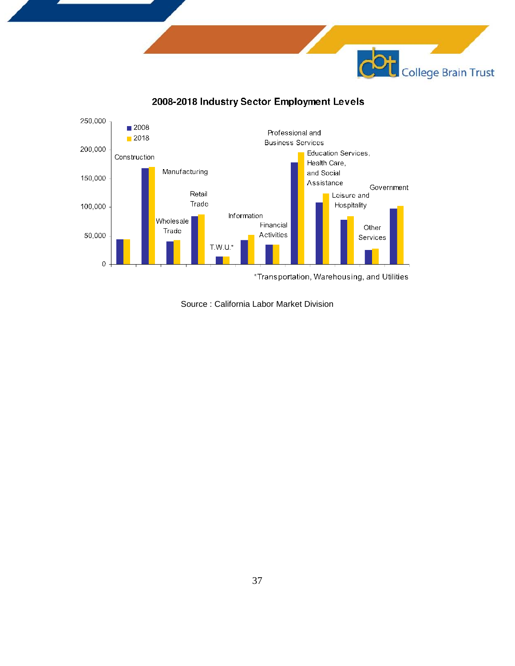



2008-2018 Industry Sector Employment Levels

Source : California Labor Market Division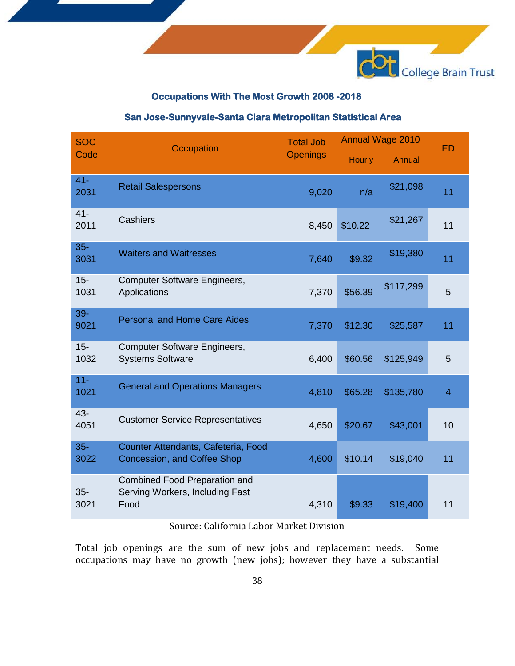

### **Occupations With The Most Growth 2008 -2018**

### **San Jose-Sunnyvale-Santa Clara Metropolitan Statistical Area**

| <b>SOC</b>     | Occupation                                                               | <b>Total Job</b> | <b>Annual Wage 2010</b> |               | <b>ED</b>               |
|----------------|--------------------------------------------------------------------------|------------------|-------------------------|---------------|-------------------------|
| Code           |                                                                          | <b>Openings</b>  | <b>Hourly</b>           | <b>Annual</b> |                         |
| $41 -$<br>2031 | <b>Retail Salespersons</b>                                               | 9,020            | n/a                     | \$21,098      | 11                      |
| $41 -$<br>2011 | Cashiers                                                                 | 8,450            | \$10.22                 | \$21,267      | 11                      |
| $35 -$<br>3031 | <b>Waiters and Waitresses</b>                                            | 7,640            | \$9.32                  | \$19,380      | 11                      |
| $15 -$<br>1031 | <b>Computer Software Engineers,</b><br>Applications                      | 7,370            | \$56.39                 | \$117,299     | 5                       |
| $39 -$<br>9021 | <b>Personal and Home Care Aides</b>                                      | 7,370            | \$12.30                 | \$25,587      | 11                      |
| $15 -$<br>1032 | Computer Software Engineers,<br><b>Systems Software</b>                  | 6,400            | \$60.56                 | \$125,949     | 5                       |
| $11 -$<br>1021 | <b>General and Operations Managers</b>                                   | 4,810            | \$65.28                 | \$135,780     | $\overline{\mathbf{4}}$ |
| 43-<br>4051    | <b>Customer Service Representatives</b>                                  | 4,650            | \$20.67                 | \$43,001      | 10                      |
| $35-$<br>3022  | Counter Attendants, Cafeteria, Food<br>Concession, and Coffee Shop       | 4,600            | \$10.14                 | \$19,040      | 11                      |
| $35-$<br>3021  | Combined Food Preparation and<br>Serving Workers, Including Fast<br>Food | 4,310            | \$9.33                  | \$19,400      | 11                      |

Source: California Labor Market Division

Total job openings are the sum of new jobs and replacement needs. Some occupations may have no growth (new jobs); however they have a substantial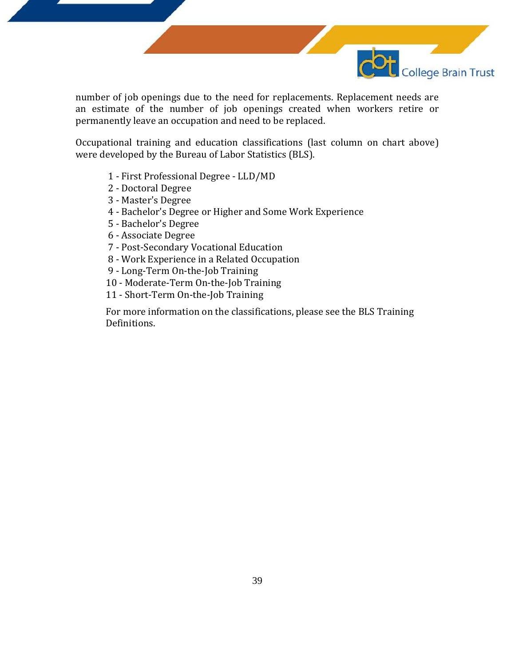

number of job openings due to the need for replacements. Replacement needs are an estimate of the number of job openings created when workers retire or permanently leave an occupation and need to be replaced.

Occupational training and education classifications (last column on chart above) were developed by the Bureau of Labor Statistics (BLS).

- 1 First Professional Degree LLD/MD
- 2 Doctoral Degree
- 3 Master's Degree
- 4 Bachelor's Degree or Higher and Some Work Experience
- 5 Bachelor's Degree
- 6 Associate Degree
- 7 Post-Secondary Vocational Education
- 8 Work Experience in a Related Occupation
- 9 Long-Term On-the-Job Training
- 10 Moderate-Term On-the-Job Training
- 11 Short-Term On-the-Job Training

For more information on the classifications, please see the BLS Training Definitions.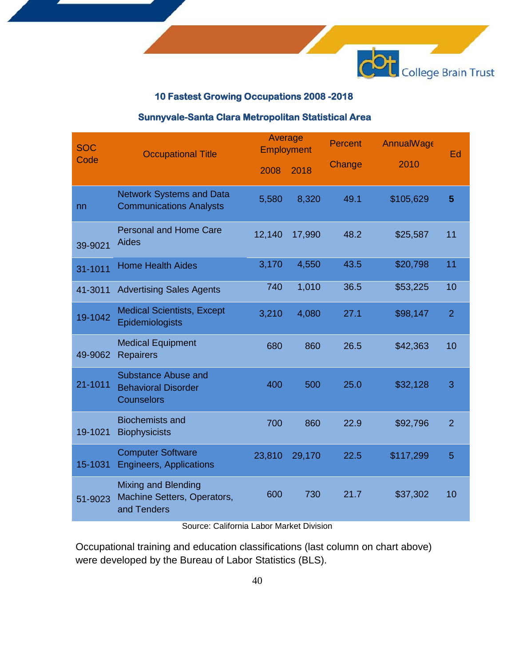

### **10 Fastest Growing Occupations 2008 -2018**

### **Sunnyvale-Santa Clara Metropolitan Statistical Area**

| <b>SOC</b> | <b>Occupational Title</b>                                                | Average<br><b>Employment</b> |        | <b>Percent</b> | <b>AnnualWage</b> | Ed             |
|------------|--------------------------------------------------------------------------|------------------------------|--------|----------------|-------------------|----------------|
| Code       | 2008<br>2018                                                             |                              |        | Change         | 2010              |                |
| nn         | <b>Network Systems and Data</b><br><b>Communications Analysts</b>        | 5,580                        | 8,320  | 49.1           | \$105,629         | 5              |
| 39-9021    | <b>Personal and Home Care</b><br>Aides                                   | 12,140                       | 17,990 | 48.2           | \$25,587          | 11             |
| 31-1011    | <b>Home Health Aides</b>                                                 | 3,170                        | 4,550  | 43.5           | \$20,798          | 11             |
| 41-3011    | <b>Advertising Sales Agents</b>                                          | 740                          | 1,010  | 36.5           | \$53,225          | 10             |
| 19-1042    | <b>Medical Scientists, Except</b><br>Epidemiologists                     | 3,210                        | 4,080  | 27.1           | \$98,147          | $\overline{2}$ |
| 49-9062    | <b>Medical Equipment</b><br><b>Repairers</b>                             | 680                          | 860    | 26.5           | \$42,363          | 10             |
| 21-1011    | Substance Abuse and<br><b>Behavioral Disorder</b><br><b>Counselors</b>   | 400                          | 500    | 25.0           | \$32,128          | 3              |
| 19-1021    | <b>Biochemists and</b><br><b>Biophysicists</b>                           | 700                          | 860    | 22.9           | \$92,796          | $\overline{2}$ |
| 15-1031    | <b>Computer Software</b><br><b>Engineers, Applications</b>               | 23,810                       | 29,170 | 22.5           | \$117,299         | 5              |
| 51-9023    | <b>Mixing and Blending</b><br>Machine Setters, Operators,<br>and Tenders | 600                          | 730    | 21.7           | \$37,302          | 10             |

Source: California Labor Market Division

Occupational training and education classifications (last column on chart above) were developed by the Bureau of Labor Statistics (BLS).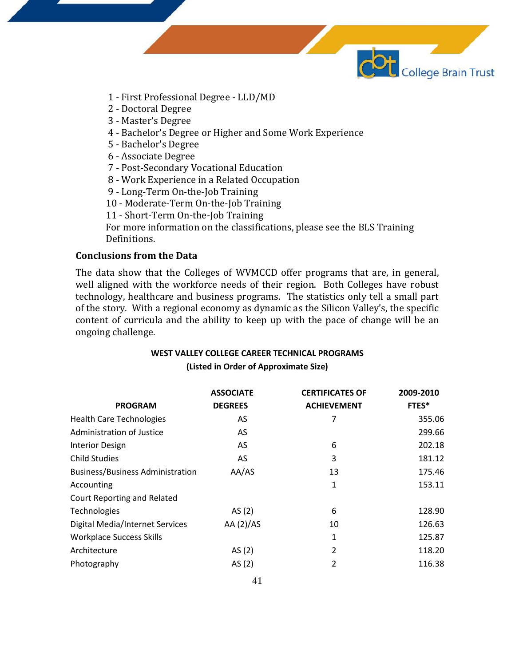

- 1 First Professional Degree LLD/MD
- 2 Doctoral Degree
- 3 Master's Degree
- 4 Bachelor's Degree or Higher and Some Work Experience
- 5 Bachelor's Degree
- 6 Associate Degree
- 7 Post-Secondary Vocational Education
- 8 Work Experience in a Related Occupation
- 9 Long-Term On-the-Job Training
- 10 Moderate-Term On-the-Job Training
- 11 Short-Term On-the-Job Training

For more information on the classifications, please see the BLS Training Definitions.

### **Conclusions from the Data**

The data show that the Colleges of WVMCCD offer programs that are, in general, well aligned with the workforce needs of their region. Both Colleges have robust technology, healthcare and business programs. The statistics only tell a small part of the story. With a regional economy as dynamic as the Silicon Valley's, the specific content of curricula and the ability to keep up with the pace of change will be an ongoing challenge.

#### **WEST VALLEY COLLEGE CAREER TECHNICAL PROGRAMS (Listed in Order of Approximate Size)**

|                                         | <b>ASSOCIATE</b> | <b>CERTIFICATES OF</b> | 2009-2010 |
|-----------------------------------------|------------------|------------------------|-----------|
| <b>PROGRAM</b>                          | <b>DEGREES</b>   | <b>ACHIEVEMENT</b>     | FTES*     |
| <b>Health Care Technologies</b>         | AS               | 7                      | 355.06    |
| Administration of Justice               | AS.              |                        | 299.66    |
| <b>Interior Design</b>                  | AS.              | 6                      | 202.18    |
| <b>Child Studies</b>                    | AS.              | 3                      | 181.12    |
| <b>Business/Business Administration</b> | AA/AS            | 13                     | 175.46    |
| Accounting                              |                  | $\mathbf{1}$           | 153.11    |
| Court Reporting and Related             |                  |                        |           |
| Technologies                            | AS(2)            | 6                      | 128.90    |
| Digital Media/Internet Services         | AA(2)/AS         | 10                     | 126.63    |
| <b>Workplace Success Skills</b>         |                  | 1                      | 125.87    |
| Architecture                            | AS(2)            | $\overline{2}$         | 118.20    |
| Photography                             | AS(2)            | 2                      | 116.38    |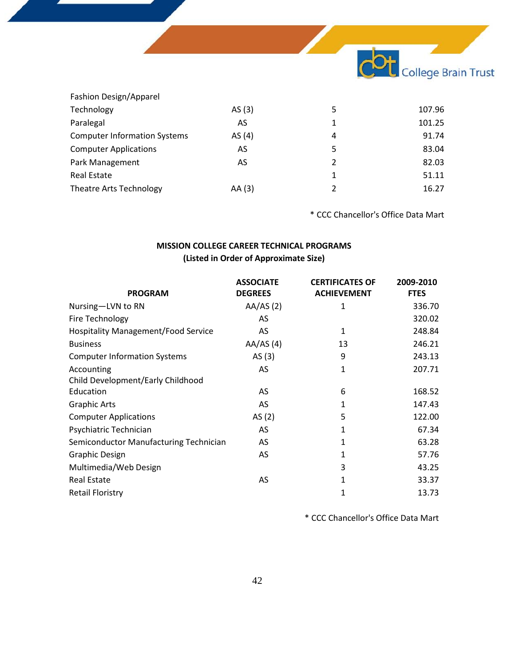

| 5 | 107.96                                        |
|---|-----------------------------------------------|
| 1 | 101.25                                        |
| 4 | 91.74                                         |
| 5 | 83.04                                         |
| 2 | 82.03                                         |
| 1 | 51.11                                         |
| 2 | 16.27                                         |
|   | AS $(3)$<br>AS<br>AS(4)<br>AS<br>AS<br>AA (3) |

\* CCC Chancellor's Office Data Mart

### **MISSION COLLEGE CAREER TECHNICAL PROGRAMS (Listed in Order of Approximate Size)**

| <b>PROGRAM</b>                             | <b>ASSOCIATE</b><br><b>DEGREES</b> | <b>CERTIFICATES OF</b><br><b>ACHIEVEMENT</b> | 2009-2010<br><b>FTES</b> |
|--------------------------------------------|------------------------------------|----------------------------------------------|--------------------------|
| Nursing-LVN to RN                          | AA/AS(2)                           | 1                                            | 336.70                   |
| Fire Technology                            | AS                                 |                                              | 320.02                   |
| <b>Hospitality Management/Food Service</b> | AS                                 | 1                                            | 248.84                   |
| <b>Business</b>                            | AA/AS(4)                           | 13                                           | 246.21                   |
| <b>Computer Information Systems</b>        | AS $(3)$                           | 9                                            | 243.13                   |
| Accounting                                 | AS                                 | 1                                            | 207.71                   |
| Child Development/Early Childhood          |                                    |                                              |                          |
| Education                                  | AS                                 | 6                                            | 168.52                   |
| <b>Graphic Arts</b>                        | AS                                 | 1                                            | 147.43                   |
| <b>Computer Applications</b>               | AS(2)                              | 5                                            | 122.00                   |
| Psychiatric Technician                     | AS                                 | 1                                            | 67.34                    |
| Semiconductor Manufacturing Technician     | AS                                 | 1                                            | 63.28                    |
| <b>Graphic Design</b>                      | AS                                 | 1                                            | 57.76                    |
| Multimedia/Web Design                      |                                    | 3                                            | 43.25                    |
| <b>Real Estate</b>                         | AS                                 | 1                                            | 33.37                    |
| <b>Retail Floristry</b>                    |                                    | 1                                            | 13.73                    |

\* CCC Chancellor's Office Data Mart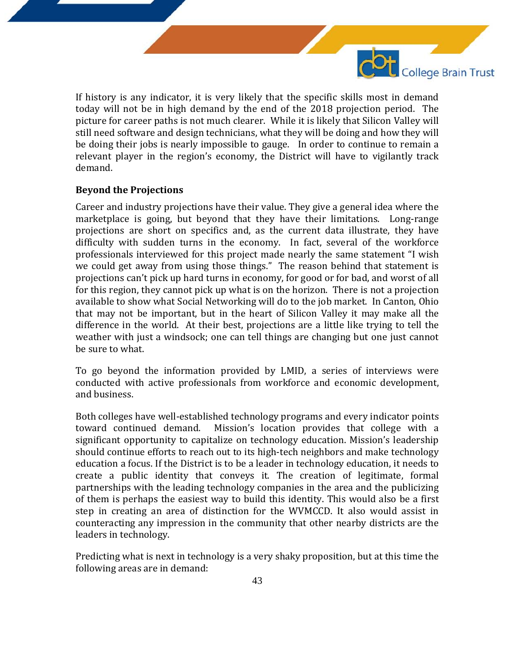College Brain Trust If history is any indicator, it is very likely that the specific skills most in demand today will not be in high demand by the end of the 2018 projection period. The picture for career paths is not much clearer. While it is likely that Silicon Valley will

still need software and design technicians, what they will be doing and how they will be doing their jobs is nearly impossible to gauge. In order to continue to remain a relevant player in the region's economy, the District will have to vigilantly track demand.

### **Beyond the Projections**

Career and industry projections have their value. They give a general idea where the marketplace is going, but beyond that they have their limitations. Long-range projections are short on specifics and, as the current data illustrate, they have difficulty with sudden turns in the economy. In fact, several of the workforce professionals interviewed for this project made nearly the same statement "I wish we could get away from using those things." The reason behind that statement is projections can't pick up hard turns in economy, for good or for bad, and worst of all for this region, they cannot pick up what is on the horizon. There is not a projection available to show what Social Networking will do to the job market. In Canton, Ohio that may not be important, but in the heart of Silicon Valley it may make all the difference in the world. At their best, projections are a little like trying to tell the weather with just a windsock; one can tell things are changing but one just cannot be sure to what.

To go beyond the information provided by LMID, a series of interviews were conducted with active professionals from workforce and economic development, and business.

Both colleges have well-established technology programs and every indicator points<br>toward continued demand. Mission's location provides that college with a Mission's location provides that college with a significant opportunity to capitalize on technology education. Mission's leadership should continue efforts to reach out to its high-tech neighbors and make technology education a focus. If the District is to be a leader in technology education, it needs to create a public identity that conveys it. The creation of legitimate, formal partnerships with the leading technology companies in the area and the publicizing of them is perhaps the easiest way to build this identity. This would also be a first step in creating an area of distinction for the WVMCCD. It also would assist in counteracting any impression in the community that other nearby districts are the leaders in technology.

Predicting what is next in technology is a very shaky proposition, but at this time the following areas are in demand: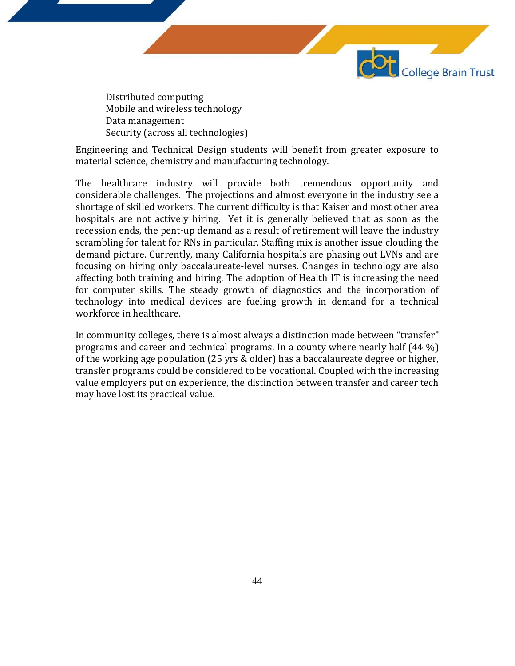Distributed computing Mobile and wireless technology Data management Security (across all technologies)

Engineering and Technical Design students will benefit from greater exposure to material science, chemistry and manufacturing technology.

College Brain Trust

The healthcare industry will provide both tremendous opportunity and considerable challenges. The projections and almost everyone in the industry see a shortage of skilled workers. The current difficulty is that Kaiser and most other area hospitals are not actively hiring. Yet it is generally believed that as soon as the recession ends, the pent-up demand as a result of retirement will leave the industry scrambling for talent for RNs in particular. Staffing mix is another issue clouding the demand picture. Currently, many California hospitals are phasing out LVNs and are focusing on hiring only baccalaureate-level nurses. Changes in technology are also affecting both training and hiring. The adoption of Health IT is increasing the need for computer skills. The steady growth of diagnostics and the incorporation of technology into medical devices are fueling growth in demand for a technical workforce in healthcare.

In community colleges, there is almost always a distinction made between "transfer" programs and career and technical programs. In a county where nearly half (44 %) of the working age population (25 yrs & older) has a baccalaureate degree or higher, transfer programs could be considered to be vocational. Coupled with the increasing value employers put on experience, the distinction between transfer and career tech may have lost its practical value.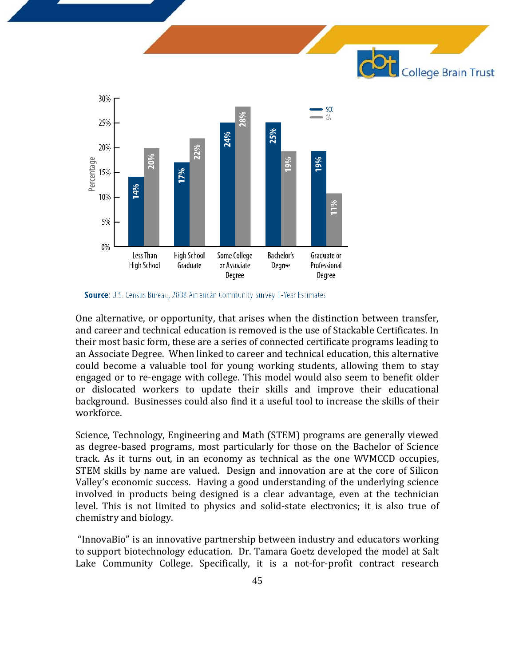



Source: U.S. Census Bureau, 2008 American Community Survey 1-Year Estimates

One alternative, or opportunity, that arises when the distinction between transfer, and career and technical education is removed is the use of Stackable Certificates. In their most basic form, these are a series of connected certificate programs leading to an Associate Degree. When linked to career and technical education, this alternative could become a valuable tool for young working students, allowing them to stay engaged or to re-engage with college. This model would also seem to benefit older or dislocated workers to update their skills and improve their educational background. Businesses could also find it a useful tool to increase the skills of their workforce.

Science, Technology, Engineering and Math (STEM) programs are generally viewed as degree-based programs, most particularly for those on the Bachelor of Science track. As it turns out, in an economy as technical as the one WVMCCD occupies, STEM skills by name are valued. Design and innovation are at the core of Silicon Valley's economic success. Having a good understanding of the underlying science involved in products being designed is a clear advantage, even at the technician level. This is not limited to physics and solid-state electronics; it is also true of chemistry and biology.

"InnovaBio" is an innovative partnership between industry and educators working to support biotechnology education. Dr. Tamara Goetz developed the model at Salt Lake Community College. Specifically, it is a not-for-profit contract research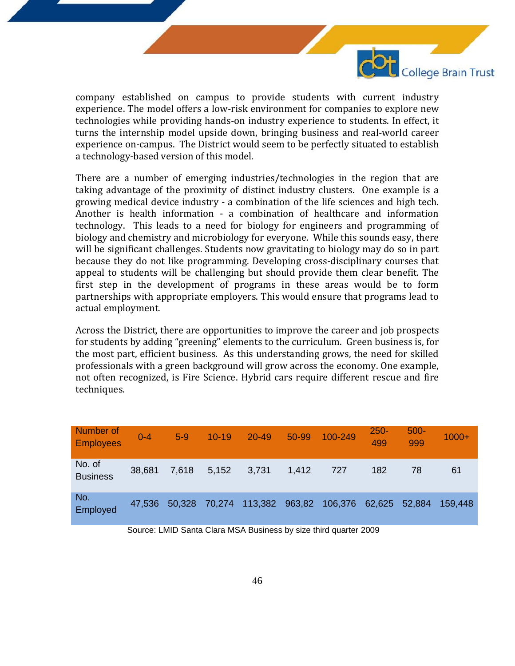

company established on campus to provide students with current industry experience. The model offers a low-risk environment for companies to explore new technologies while providing hands-on industry experience to students. In effect, it turns the internship model upside down, bringing business and real-world career experience on-campus. The District would seem to be perfectly situated to establish a technology-based version of this model.

There are a number of emerging industries/technologies in the region that are taking advantage of the proximity of distinct industry clusters. One example is a growing medical device industry - a combination of the life sciences and high tech. Another is health information - a combination of healthcare and information technology. This leads to a need for biology for engineers and programming of biology and chemistry and microbiology for everyone. While this sounds easy, there will be significant challenges. Students now gravitating to biology may do so in part because they do not like programming. Developing cross-disciplinary courses that appeal to students will be challenging but should provide them clear benefit. The first step in the development of programs in these areas would be to form partnerships with appropriate employers. This would ensure that programs lead to actual employment.

Across the District, there are opportunities to improve the career and job prospects for students by adding "greening" elements to the curriculum. Green business is, for the most part, efficient business. As this understanding grows, the need for skilled professionals with a green background will grow across the economy. One example, not often recognized, is Fire Science. Hybrid cars require different rescue and fire techniques.

| Number of<br><b>Employees</b> | $0 - 4$ | $5-9$  | $10 - 19$ | $20 - 49$ | 50-99  | 100-249 | $250 -$<br>499 | $500 -$<br>999 | $1000+$ |
|-------------------------------|---------|--------|-----------|-----------|--------|---------|----------------|----------------|---------|
| No. of<br><b>Business</b>     | 38,681  | 7,618  | 5,152     | 3,731     | 1,412  | 727     | 182            | 78             | 61      |
| No.<br>Employed               | 47,536  | 50,328 | 70,274    | 113,382   | 963,82 | 106,376 | 62,625         | 52,884         | 159.448 |

Source: LMID Santa Clara MSA Business by size third quarter 2009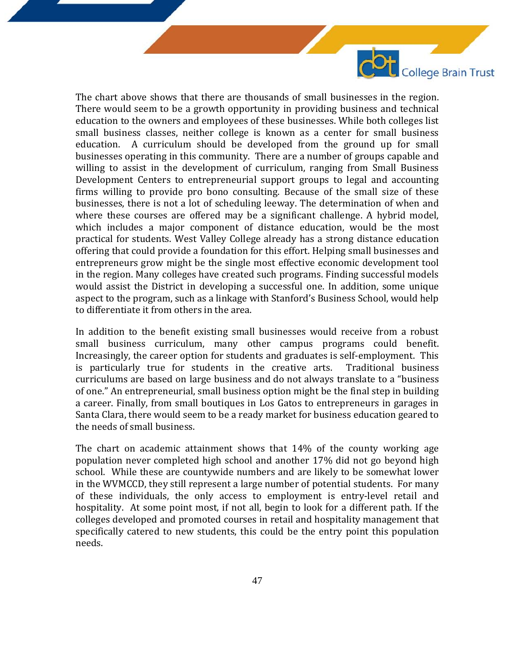The chart above shows that there are thousands of small businesses in the region. There would seem to be a growth opportunity in providing business and technical education to the owners and employees of these businesses. While both colleges list small business classes, neither college is known as a center for small business education. A curriculum should be developed from the ground up for small businesses operating in this community. There are a number of groups capable and willing to assist in the development of curriculum, ranging from Small Business Development Centers to entrepreneurial support groups to legal and accounting firms willing to provide pro bono consulting. Because of the small size of these businesses, there is not a lot of scheduling leeway. The determination of when and where these courses are offered may be a significant challenge. A hybrid model, which includes a major component of distance education, would be the most practical for students. West Valley College already has a strong distance education offering that could provide a foundation for this effort. Helping small businesses and entrepreneurs grow might be the single most effective economic development tool in the region. Many colleges have created such programs. Finding successful models would assist the District in developing a successful one. In addition, some unique aspect to the program, such as a linkage with Stanford's Business School, would help to differentiate it from others in the area.

College Brain Trust

In addition to the benefit existing small businesses would receive from a robust small business curriculum, many other campus programs could benefit. Increasingly, the career option for students and graduates is self-employment. This is particularly true for students in the creative arts. curriculums are based on large business and do not always translate to a "business of one." An entrepreneurial, small business option might be the final step in building a career. Finally, from small boutiques in Los Gatos to entrepreneurs in garages in Santa Clara, there would seem to be a ready market for business education geared to the needs of small business.

The chart on academic attainment shows that 14% of the county working age population never completed high school and another 17% did not go beyond high school. While these are countywide numbers and are likely to be somewhat lower in the WVMCCD, they still represent a large number of potential students. For many of these individuals, the only access to employment is entry-level retail and hospitality. At some point most, if not all, begin to look for a different path. If the colleges developed and promoted courses in retail and hospitality management that specifically catered to new students, this could be the entry point this population needs.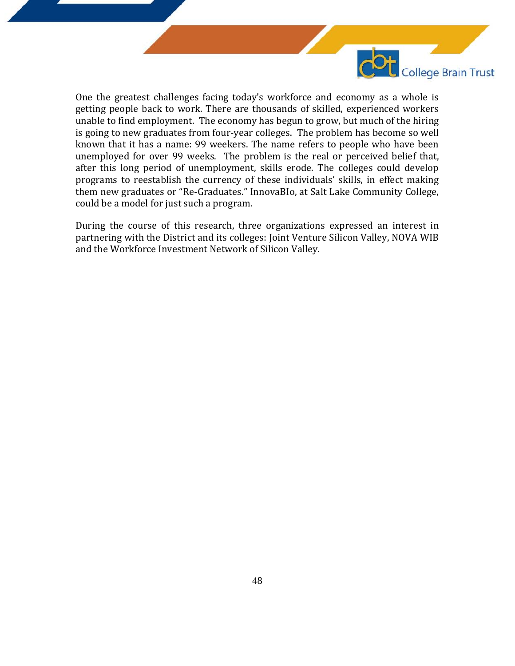

One the greatest challenges facing today's workforce and economy as a whole is getting people back to work. There are thousands of skilled, experienced workers unable to find employment. The economy has begun to grow, but much of the hiring is going to new graduates from four-year colleges. The problem has become so well known that it has a name: 99 weekers. The name refers to people who have been unemployed for over 99 weeks. The problem is the real or perceived belief that, after this long period of unemployment, skills erode. The colleges could develop programs to reestablish the currency of these individuals' skills, in effect making them new graduates or "Re-Graduates." InnovaBIo, at Salt Lake Community College, could be a model for just such a program.

During the course of this research, three organizations expressed an interest in partnering with the District and its colleges: Joint Venture Silicon Valley, NOVA WIB and the Workforce Investment Network of Silicon Valley.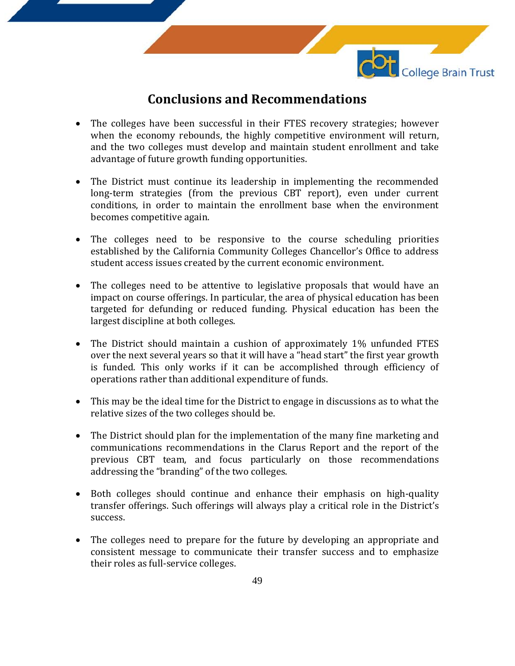

### **Conclusions and Recommendations**

- The colleges have been successful in their FTES recovery strategies; however when the economy rebounds, the highly competitive environment will return, and the two colleges must develop and maintain student enrollment and take advantage of future growth funding opportunities.
- The District must continue its leadership in implementing the recommended long-term strategies (from the previous CBT report), even under current conditions, in order to maintain the enrollment base when the environment becomes competitive again.
- The colleges need to be responsive to the course scheduling priorities established by the California Community Colleges Chancellor's Office to address student access issues created by the current economic environment.
- The colleges need to be attentive to legislative proposals that would have an impact on course offerings. In particular, the area of physical education has been targeted for defunding or reduced funding. Physical education has been the largest discipline at both colleges.
- The District should maintain a cushion of approximately 1% unfunded FTES over the next several years so that it will have a "head start" the first year growth is funded. This only works if it can be accomplished through efficiency of operations rather than additional expenditure of funds.
- This may be the ideal time for the District to engage in discussions as to what the relative sizes of the two colleges should be.
- The District should plan for the implementation of the many fine marketing and communications recommendations in the Clarus Report and the report of the previous CBT team, and focus particularly on those recommendations addressing the "branding" of the two colleges.
- Both colleges should continue and enhance their emphasis on high-quality transfer offerings. Such offerings will always play a critical role in the District's success.
- The colleges need to prepare for the future by developing an appropriate and consistent message to communicate their transfer success and to emphasize their roles as full-service colleges.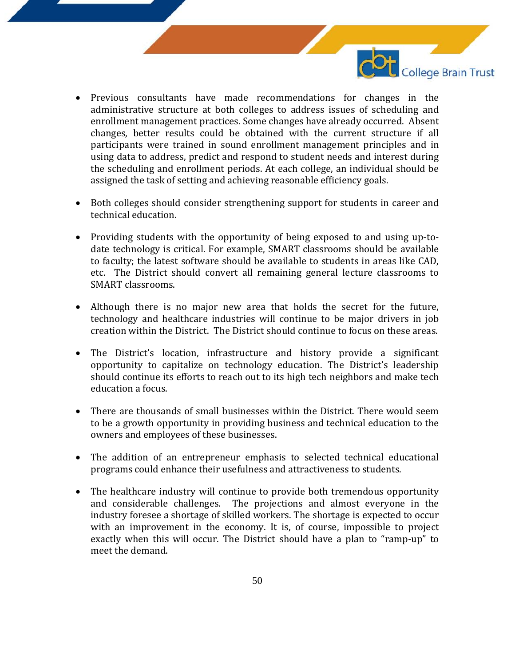

- Previous consultants have made recommendations for changes in the administrative structure at both colleges to address issues of scheduling and enrollment management practices. Some changes have already occurred. Absent changes, better results could be obtained with the current structure if all participants were trained in sound enrollment management principles and in using data to address, predict and respond to student needs and interest during the scheduling and enrollment periods. At each college, an individual should be assigned the task of setting and achieving reasonable efficiency goals.
- Both colleges should consider strengthening support for students in career and technical education.
- Providing students with the opportunity of being exposed to and using up-todate technology is critical. For example, SMART classrooms should be available to faculty; the latest software should be available to students in areas like CAD, etc. The District should convert all remaining general lecture classrooms to SMART classrooms.
- Although there is no major new area that holds the secret for the future, technology and healthcare industries will continue to be major drivers in job creation within the District. The District should continue to focus on these areas.
- The District's location, infrastructure and history provide a significant opportunity to capitalize on technology education. The District's leadership should continue its efforts to reach out to its high tech neighbors and make tech education a focus.
- There are thousands of small businesses within the District. There would seem to be a growth opportunity in providing business and technical education to the owners and employees of these businesses.
- The addition of an entrepreneur emphasis to selected technical educational programs could enhance their usefulness and attractiveness to students.
- The healthcare industry will continue to provide both tremendous opportunity and considerable challenges. The projections and almost everyone in the industry foresee a shortage of skilled workers. The shortage is expected to occur with an improvement in the economy. It is, of course, impossible to project exactly when this will occur. The District should have a plan to "ramp-up" to meet the demand.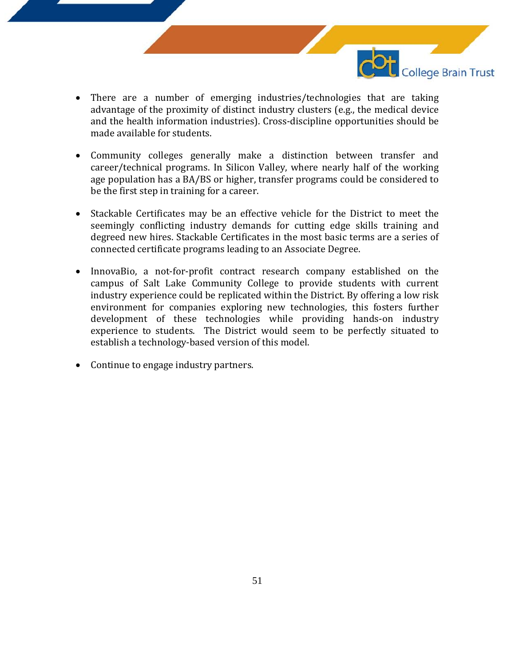

- There are a number of emerging industries/technologies that are taking advantage of the proximity of distinct industry clusters (e.g., the medical device and the health information industries). Cross-discipline opportunities should be made available for students.
- Community colleges generally make a distinction between transfer and career/technical programs. In Silicon Valley, where nearly half of the working age population has a BA/BS or higher, transfer programs could be considered to be the first step in training for a career.
- Stackable Certificates may be an effective vehicle for the District to meet the seemingly conflicting industry demands for cutting edge skills training and degreed new hires. Stackable Certificates in the most basic terms are a series of connected certificate programs leading to an Associate Degree.
- InnovaBio, a not-for-profit contract research company established on the campus of Salt Lake Community College to provide students with current industry experience could be replicated within the District. By offering a low risk environment for companies exploring new technologies, this fosters further development of these technologies while providing hands-on industry experience to students. The District would seem to be perfectly situated to establish a technology-based version of this model.
- Continue to engage industry partners.